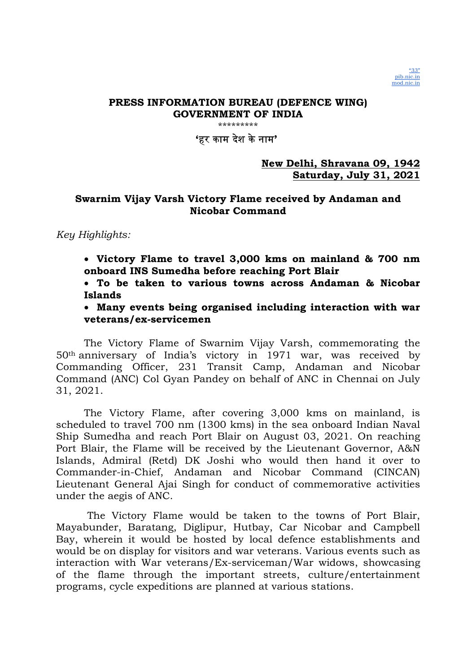"33" pib.nic.in mod.nic.in

'हर काम दशे केनाम'

New Delhi, Shravana 09, 1942 Saturday, July 31, 2021

### Swarnim Vijay Varsh Victory Flame received by Andaman and Nicobar Command

### Key Highlights:

 Victory Flame to travel 3,000 kms on mainland & 700 nm onboard INS Sumedha before reaching Port Blair

 To be taken to various towns across Andaman & Nicobar Islands

 Many events being organised including interaction with war veterans/ex-servicemen

The Victory Flame of Swarnim Vijay Varsh, commemorating the 50th anniversary of India's victory in 1971 war, was received by Commanding Officer, 231 Transit Camp, Andaman and Nicobar Command (ANC) Col Gyan Pandey on behalf of ANC in Chennai on July 31, 2021.

 The Victory Flame, after covering 3,000 kms on mainland, is scheduled to travel 700 nm (1300 kms) in the sea onboard Indian Naval Ship Sumedha and reach Port Blair on August 03, 2021. On reaching Port Blair, the Flame will be received by the Lieutenant Governor, A&N Islands, Admiral (Retd) DK Joshi who would then hand it over to Commander-in-Chief, Andaman and Nicobar Command (CINCAN) Lieutenant General Ajai Singh for conduct of commemorative activities under the aegis of ANC.

 The Victory Flame would be taken to the towns of Port Blair, Mayabunder, Baratang, Diglipur, Hutbay, Car Nicobar and Campbell Bay, wherein it would be hosted by local defence establishments and would be on display for visitors and war veterans. Various events such as interaction with War veterans/Ex-serviceman/War widows, showcasing of the flame through the important streets, culture/entertainment programs, cycle expeditions are planned at various stations.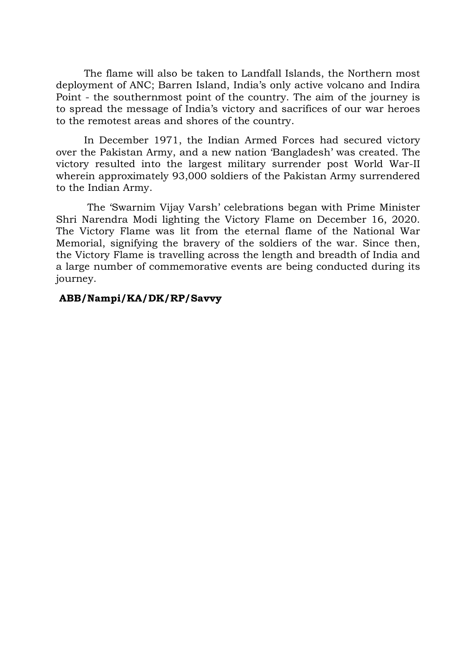The flame will also be taken to Landfall Islands, the Northern most deployment of ANC; Barren Island, India's only active volcano and Indira Point - the southernmost point of the country. The aim of the journey is to spread the message of India's victory and sacrifices of our war heroes to the remotest areas and shores of the country.

In December 1971, the Indian Armed Forces had secured victory over the Pakistan Army, and a new nation 'Bangladesh' was created. The victory resulted into the largest military surrender post World War-II wherein approximately 93,000 soldiers of the Pakistan Army surrendered to the Indian Army.

 The 'Swarnim Vijay Varsh' celebrations began with Prime Minister Shri Narendra Modi lighting the Victory Flame on December 16, 2020. The Victory Flame was lit from the eternal flame of the National War Memorial, signifying the bravery of the soldiers of the war. Since then, the Victory Flame is travelling across the length and breadth of India and a large number of commemorative events are being conducted during its journey.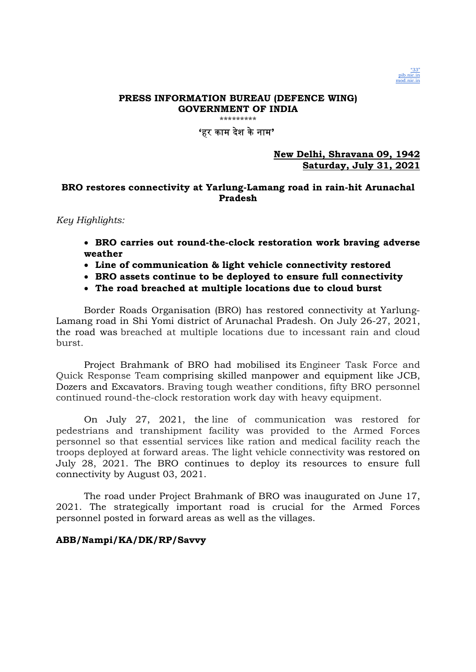

\*\*\*\*\*\*\*\*\*\*\*\*

### 'हर काम देश केनाम'

#### New Delhi, Shravana 09, 1942 Saturday, July 31, 2021

### BRO restores connectivity at Yarlung-Lamang road in rain-hit Arunachal Pradesh

Key Highlights:

- BRO carries out round-the-clock restoration work braving adverse weather
- Line of communication & light vehicle connectivity restored
- BRO assets continue to be deployed to ensure full connectivity
- The road breached at multiple locations due to cloud burst

Border Roads Organisation (BRO) has restored connectivity at Yarlung-Lamang road in Shi Yomi district of Arunachal Pradesh. On July 26-27, 2021, the road was breached at multiple locations due to incessant rain and cloud burst.

Project Brahmank of BRO had mobilised its Engineer Task Force and Quick Response Team comprising skilled manpower and equipment like JCB, Dozers and Excavators. Braving tough weather conditions, fifty BRO personnel continued round-the-clock restoration work day with heavy equipment.

On July 27, 2021, the line of communication was restored for pedestrians and transhipment facility was provided to the Armed Forces personnel so that essential services like ration and medical facility reach the troops deployed at forward areas. The light vehicle connectivity was restored on July 28, 2021. The BRO continues to deploy its resources to ensure full connectivity by August 03, 2021.

The road under Project Brahmank of BRO was inaugurated on June 17, 2021. The strategically important road is crucial for the Armed Forces personnel posted in forward areas as well as the villages.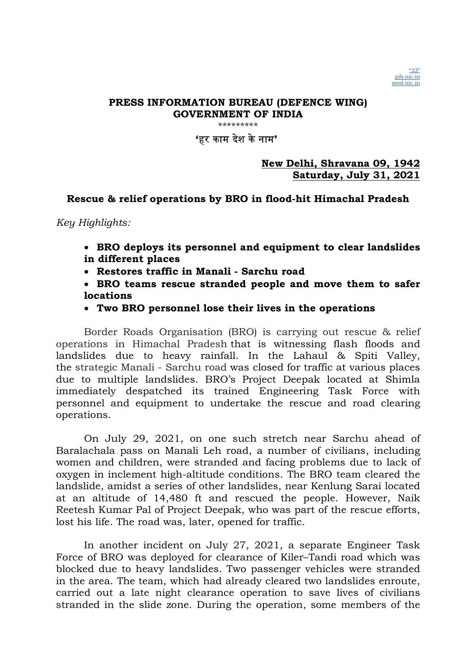"33" pib.nic.in mod.nic.in

'हर काम दशे केनाम'

New Delhi, Shravana 09, 1942 Saturday, July 31, 2021

### Rescue & relief operations by BRO in flood-hit Himachal Pradesh

Key Highlights:

- BRO deploys its personnel and equipment to clear landslides in different places
- Restores traffic in Manali Sarchu road
- BRO teams rescue stranded people and move them to safer locations

### Two BRO personnel lose their lives in the operations

Border Roads Organisation (BRO) is carrying out rescue & relief operations in Himachal Pradesh that is witnessing flash floods and landslides due to heavy rainfall. In the Lahaul & Spiti Valley, the strategic Manali - Sarchu road was closed for traffic at various places due to multiple landslides. BRO's Project Deepak located at Shimla immediately despatched its trained Engineering Task Force with personnel and equipment to undertake the rescue and road clearing operations.

On July 29, 2021, on one such stretch near Sarchu ahead of Baralachala pass on Manali Leh road, a number of civilians, including women and children, were stranded and facing problems due to lack of oxygen in inclement high-altitude conditions. The BRO team cleared the landslide, amidst a series of other landslides, near Kenlung Sarai located at an altitude of 14,480 ft and rescued the people. However, Naik Reetesh Kumar Pal of Project Deepak, who was part of the rescue efforts, lost his life. The road was, later, opened for traffic.

In another incident on July 27, 2021, a separate Engineer Task Force of BRO was deployed for clearance of Kiler–Tandi road which was blocked due to heavy landslides. Two passenger vehicles were stranded in the area. The team, which had already cleared two landslides enroute, carried out a late night clearance operation to save lives of civilians stranded in the slide zone. During the operation, some members of the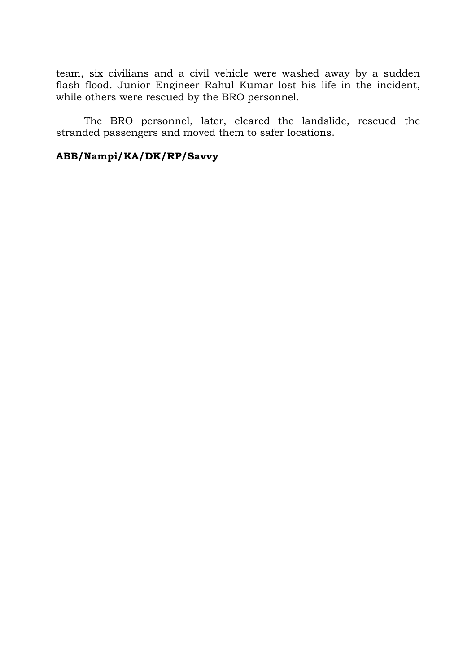team, six civilians and a civil vehicle were washed away by a sudden flash flood. Junior Engineer Rahul Kumar lost his life in the incident, while others were rescued by the BRO personnel.

The BRO personnel, later, cleared the landslide, rescued the stranded passengers and moved them to safer locations.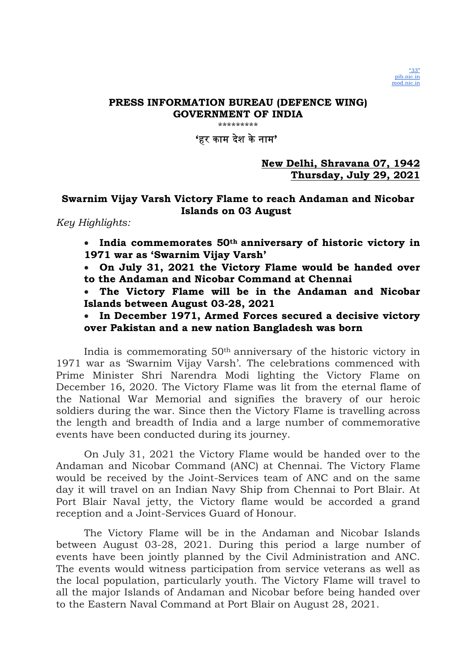"33" pib.nic.in mod.nic.in

'हर काम दशे केनाम'

New Delhi, Shravana 07, 1942 Thursday, July 29, 2021

### Swarnim Vijay Varsh Victory Flame to reach Andaman and Nicobar Islands on 03 August

Key Highlights:

 $\bullet$  India commemorates 50<sup>th</sup> anniversary of historic victory in 1971 war as 'Swarnim Vijay Varsh'

 On July 31, 2021 the Victory Flame would be handed over to the Andaman and Nicobar Command at Chennai

 The Victory Flame will be in the Andaman and Nicobar Islands between August 03-28, 2021

• In December 1971, Armed Forces secured a decisive victory over Pakistan and a new nation Bangladesh was born

India is commemorating 50th anniversary of the historic victory in 1971 war as 'Swarnim Vijay Varsh'. The celebrations commenced with Prime Minister Shri Narendra Modi lighting the Victory Flame on December 16, 2020. The Victory Flame was lit from the eternal flame of the National War Memorial and signifies the bravery of our heroic soldiers during the war. Since then the Victory Flame is travelling across the length and breadth of India and a large number of commemorative events have been conducted during its journey.

On July 31, 2021 the Victory Flame would be handed over to the Andaman and Nicobar Command (ANC) at Chennai. The Victory Flame would be received by the Joint-Services team of ANC and on the same day it will travel on an Indian Navy Ship from Chennai to Port Blair. At Port Blair Naval jetty, the Victory flame would be accorded a grand reception and a Joint-Services Guard of Honour.

The Victory Flame will be in the Andaman and Nicobar Islands between August 03-28, 2021. During this period a large number of events have been jointly planned by the Civil Administration and ANC. The events would witness participation from service veterans as well as the local population, particularly youth. The Victory Flame will travel to all the major Islands of Andaman and Nicobar before being handed over to the Eastern Naval Command at Port Blair on August 28, 2021.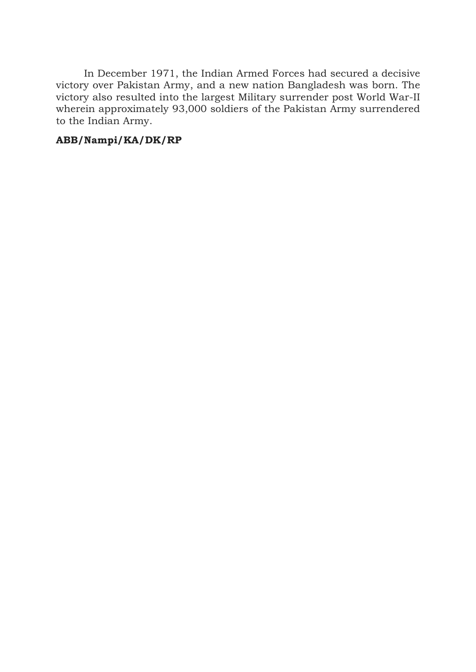In December 1971, the Indian Armed Forces had secured a decisive victory over Pakistan Army, and a new nation Bangladesh was born. The victory also resulted into the largest Military surrender post World War-II wherein approximately 93,000 soldiers of the Pakistan Army surrendered to the Indian Army.

# ABB/Nampi/KA/DK/RP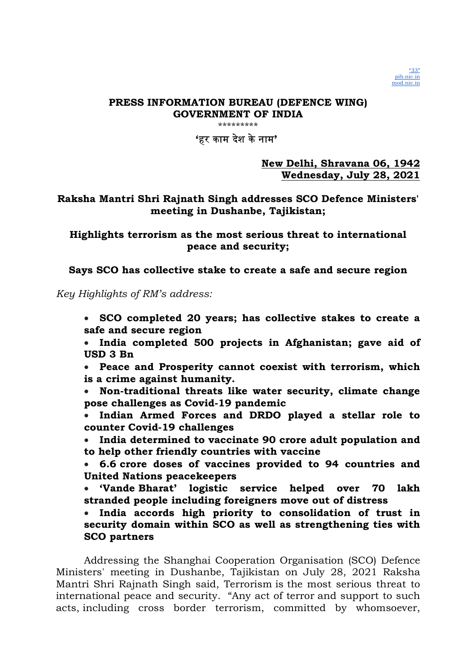"33" pib.nic.in mod.nic.in

# 'हर काम दशे केनाम'

New Delhi, Shravana 06, 1942 Wednesday, July 28, 2021

## Raksha Mantri Shri Rajnath Singh addresses SCO Defence Ministers' meeting in Dushanbe, Tajikistan;

Highlights terrorism as the most serious threat to international peace and security;

Says SCO has collective stake to create a safe and secure region

Key Highlights of RM's address:

 SCO completed 20 years; has collective stakes to create a safe and secure region

 India completed 500 projects in Afghanistan; gave aid of USD 3 Bn

 Peace and Prosperity cannot coexist with terrorism, which is a crime against humanity.

 Non-traditional threats like water security, climate change pose challenges as Covid-19 pandemic

 Indian Armed Forces and DRDO played a stellar role to counter Covid-19 challenges

 India determined to vaccinate 90 crore adult population and to help other friendly countries with vaccine

 6.6 crore doses of vaccines provided to 94 countries and United Nations peacekeepers

 'Vande Bharat' logistic service helped over 70 lakh stranded people including foreigners move out of distress

 India accords high priority to consolidation of trust in security domain within SCO as well as strengthening ties with SCO partners

Addressing the Shanghai Cooperation Organisation (SCO) Defence Ministers' meeting in Dushanbe, Tajikistan on July 28, 2021 Raksha Mantri Shri Rajnath Singh said, Terrorism is the most serious threat to international peace and security. "Any act of terror and support to such acts, including cross border terrorism, committed by whomsoever,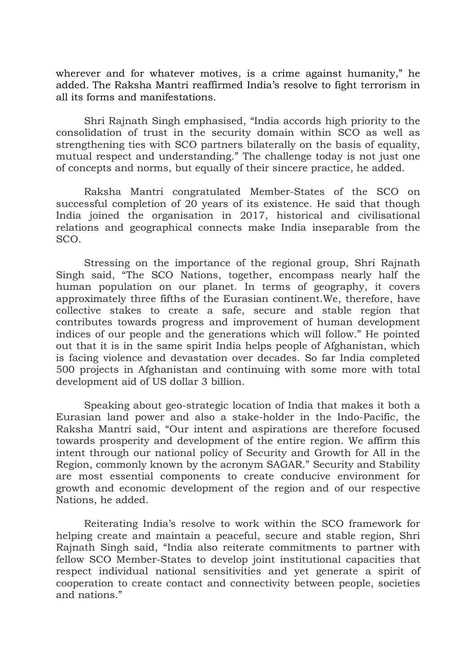wherever and for whatever motives, is a crime against humanity," he added. The Raksha Mantri reaffirmed India's resolve to fight terrorism in all its forms and manifestations.

Shri Rajnath Singh emphasised, "India accords high priority to the consolidation of trust in the security domain within SCO as well as strengthening ties with SCO partners bilaterally on the basis of equality, mutual respect and understanding." The challenge today is not just one of concepts and norms, but equally of their sincere practice, he added.

Raksha Mantri congratulated Member-States of the SCO on successful completion of 20 years of its existence. He said that though India joined the organisation in 2017, historical and civilisational relations and geographical connects make India inseparable from the SCO.

Stressing on the importance of the regional group, Shri Rajnath Singh said, "The SCO Nations, together, encompass nearly half the human population on our planet. In terms of geography, it covers approximately three fifths of the Eurasian continent.We, therefore, have collective stakes to create a safe, secure and stable region that contributes towards progress and improvement of human development indices of our people and the generations which will follow." He pointed out that it is in the same spirit India helps people of Afghanistan, which is facing violence and devastation over decades. So far India completed 500 projects in Afghanistan and continuing with some more with total development aid of US dollar 3 billion.

Speaking about geo-strategic location of India that makes it both a Eurasian land power and also a stake-holder in the Indo-Pacific, the Raksha Mantri said, "Our intent and aspirations are therefore focused towards prosperity and development of the entire region. We affirm this intent through our national policy of Security and Growth for All in the Region, commonly known by the acronym SAGAR." Security and Stability are most essential components to create conducive environment for growth and economic development of the region and of our respective Nations, he added.

Reiterating India's resolve to work within the SCO framework for helping create and maintain a peaceful, secure and stable region, Shri Rajnath Singh said, "India also reiterate commitments to partner with fellow SCO Member-States to develop joint institutional capacities that respect individual national sensitivities and yet generate a spirit of cooperation to create contact and connectivity between people, societies and nations."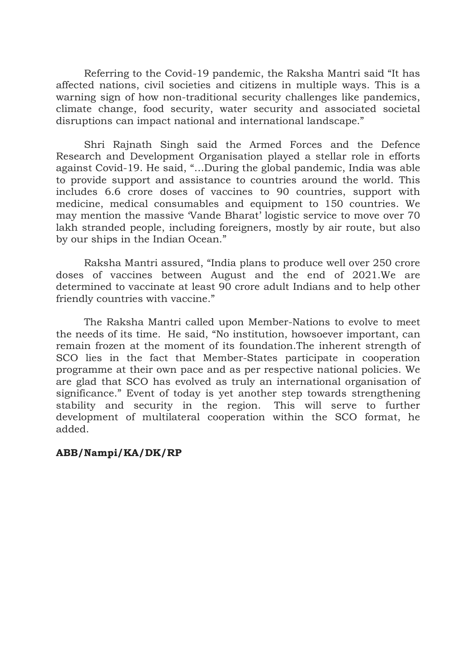Referring to the Covid-19 pandemic, the Raksha Mantri said "It has affected nations, civil societies and citizens in multiple ways. This is a warning sign of how non-traditional security challenges like pandemics, climate change, food security, water security and associated societal disruptions can impact national and international landscape."

Shri Rajnath Singh said the Armed Forces and the Defence Research and Development Organisation played a stellar role in efforts against Covid-19. He said, "…During the global pandemic, India was able to provide support and assistance to countries around the world. This includes 6.6 crore doses of vaccines to 90 countries, support with medicine, medical consumables and equipment to 150 countries. We may mention the massive 'Vande Bharat' logistic service to move over 70 lakh stranded people, including foreigners, mostly by air route, but also by our ships in the Indian Ocean."

Raksha Mantri assured, "India plans to produce well over 250 crore doses of vaccines between August and the end of 2021.We are determined to vaccinate at least 90 crore adult Indians and to help other friendly countries with vaccine."

The Raksha Mantri called upon Member-Nations to evolve to meet the needs of its time. He said, "No institution, howsoever important, can remain frozen at the moment of its foundation.The inherent strength of SCO lies in the fact that Member-States participate in cooperation programme at their own pace and as per respective national policies. We are glad that SCO has evolved as truly an international organisation of significance." Event of today is yet another step towards strengthening stability and security in the region. This will serve to further development of multilateral cooperation within the SCO format, he added.

## ABB/Nampi/KA/DK/RP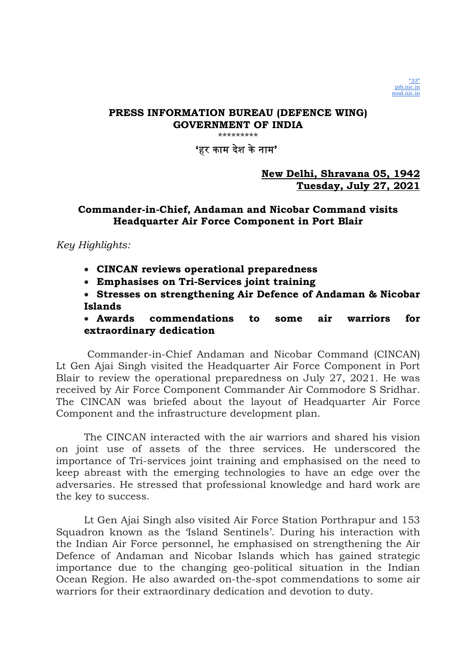

\*\*\*\*\*\*\*\*\*

## 'हर काम दशे केनाम'

## New Delhi, Shravana 05, 1942 Tuesday, July 27, 2021

## Commander-in-Chief, Andaman and Nicobar Command visits Headquarter Air Force Component in Port Blair

Key Highlights:

CINCAN reviews operational preparedness

Emphasises on Tri-Services joint training

 Stresses on strengthening Air Defence of Andaman & Nicobar Islands

 Awards commendations to some air warriors for extraordinary dedication

 Commander-in-Chief Andaman and Nicobar Command (CINCAN) Lt Gen Ajai Singh visited the Headquarter Air Force Component in Port Blair to review the operational preparedness on July 27, 2021. He was received by Air Force Component Commander Air Commodore S Sridhar. The CINCAN was briefed about the layout of Headquarter Air Force Component and the infrastructure development plan.

The CINCAN interacted with the air warriors and shared his vision on joint use of assets of the three services. He underscored the importance of Tri-services joint training and emphasised on the need to keep abreast with the emerging technologies to have an edge over the adversaries. He stressed that professional knowledge and hard work are the key to success.

Lt Gen Ajai Singh also visited Air Force Station Porthrapur and 153 Squadron known as the 'Island Sentinels'. During his interaction with the Indian Air Force personnel, he emphasised on strengthening the Air Defence of Andaman and Nicobar Islands which has gained strategic importance due to the changing geo-political situation in the Indian Ocean Region. He also awarded on-the-spot commendations to some air warriors for their extraordinary dedication and devotion to duty.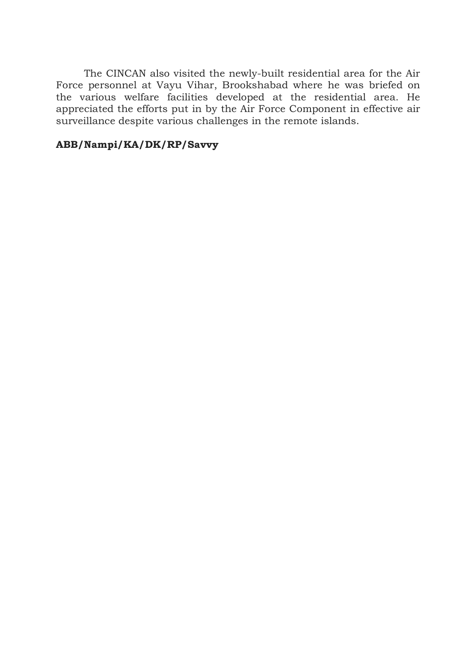The CINCAN also visited the newly-built residential area for the Air Force personnel at Vayu Vihar, Brookshabad where he was briefed on the various welfare facilities developed at the residential area. He appreciated the efforts put in by the Air Force Component in effective air surveillance despite various challenges in the remote islands.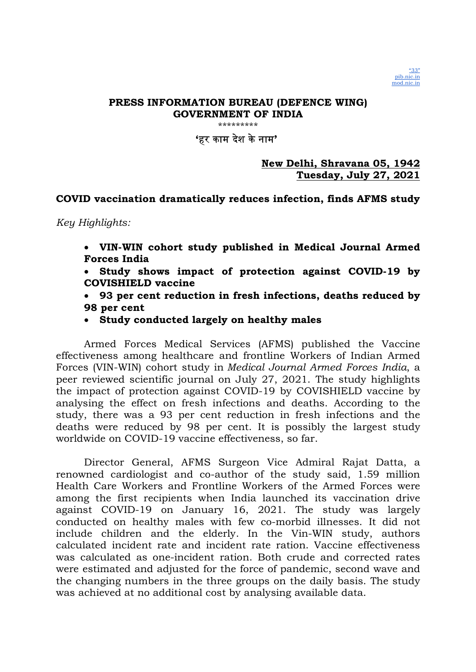"33" pib.nic.in mod.nic.in

'हर काम दशे केनाम'

New Delhi, Shravana 05, 1942 Tuesday, July 27, 2021

### COVID vaccination dramatically reduces infection, finds AFMS study

Key Highlights:

- VIN-WIN cohort study published in Medical Journal Armed Forces India
- Study shows impact of protection against COVID-19 by COVISHIELD vaccine
- 93 per cent reduction in fresh infections, deaths reduced by 98 per cent
- Study conducted largely on healthy males

Armed Forces Medical Services (AFMS) published the Vaccine effectiveness among healthcare and frontline Workers of Indian Armed Forces (VIN-WIN) cohort study in Medical Journal Armed Forces India, a peer reviewed scientific journal on July 27, 2021. The study highlights the impact of protection against COVID-19 by COVISHIELD vaccine by analysing the effect on fresh infections and deaths. According to the study, there was a 93 per cent reduction in fresh infections and the deaths were reduced by 98 per cent. It is possibly the largest study worldwide on COVID-19 vaccine effectiveness, so far.

Director General, AFMS Surgeon Vice Admiral Rajat Datta, a renowned cardiologist and co-author of the study said, 1.59 million Health Care Workers and Frontline Workers of the Armed Forces were among the first recipients when India launched its vaccination drive against COVID-19 on January 16, 2021. The study was largely conducted on healthy males with few co-morbid illnesses. It did not include children and the elderly. In the Vin-WIN study, authors calculated incident rate and incident rate ration. Vaccine effectiveness was calculated as one-incident ration. Both crude and corrected rates were estimated and adjusted for the force of pandemic, second wave and the changing numbers in the three groups on the daily basis. The study was achieved at no additional cost by analysing available data.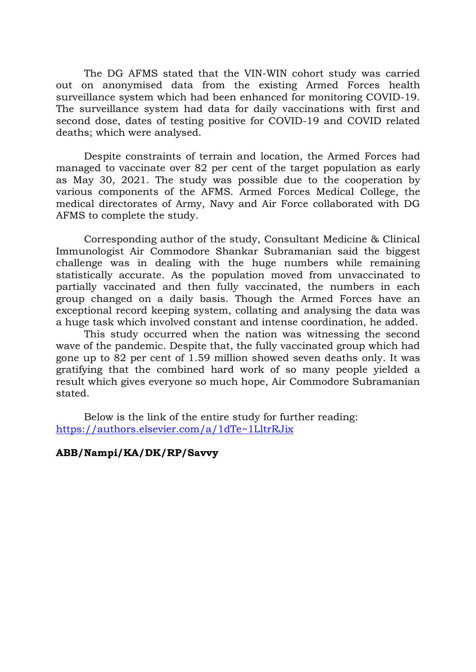The DG AFMS stated that the VIN-WIN cohort study was carried out on anonymised data from the existing Armed Forces health surveillance system which had been enhanced for monitoring COVID-19. The surveillance system had data for daily vaccinations with first and second dose, dates of testing positive for COVID-19 and COVID related deaths; which were analysed.

Despite constraints of terrain and location, the Armed Forces had managed to vaccinate over 82 per cent of the target population as early as May 30, 2021. The study was possible due to the cooperation by various components of the AFMS. Armed Forces Medical College, the medical directorates of Army, Navy and Air Force collaborated with DG AFMS to complete the study.

Corresponding author of the study, Consultant Medicine & Clinical Immunologist Air Commodore Shankar Subramanian said the biggest challenge was in dealing with the huge numbers while remaining statistically accurate. As the population moved from unvaccinated to partially vaccinated and then fully vaccinated, the numbers in each group changed on a daily basis. Though the Armed Forces have an exceptional record keeping system, collating and analysing the data was a huge task which involved constant and intense coordination, he added.

This study occurred when the nation was witnessing the second wave of the pandemic. Despite that, the fully vaccinated group which had gone up to 82 per cent of 1.59 million showed seven deaths only. It was gratifying that the combined hard work of so many people yielded a result which gives everyone so much hope, Air Commodore Subramanian stated.

Below is the link of the entire study for further reading: https://authors.elsevier.com/a/1dTe~1LltrRJix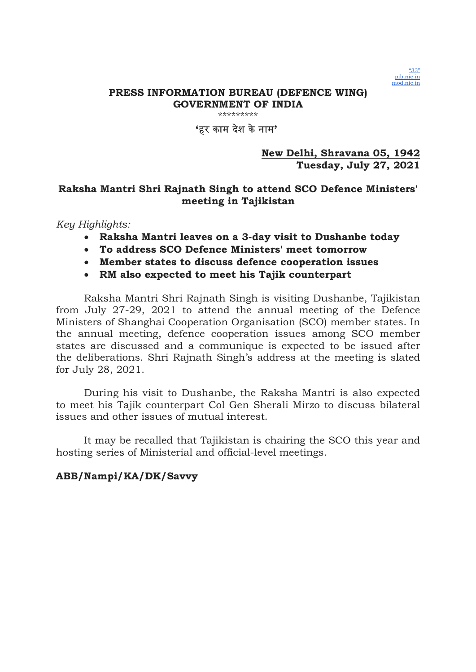

# 'हर काम दशे केनाम'

### New Delhi, Shravana 05, 1942 Tuesday, July 27, 2021

# Raksha Mantri Shri Rajnath Singh to attend SCO Defence Ministers' meeting in Tajikistan

### Key Highlights:

- Raksha Mantri leaves on a 3-day visit to Dushanbe today
- To address SCO Defence Ministers' meet tomorrow
- Member states to discuss defence cooperation issues
- RM also expected to meet his Tajik counterpart

Raksha Mantri Shri Rajnath Singh is visiting Dushanbe, Tajikistan from July 27-29, 2021 to attend the annual meeting of the Defence Ministers of Shanghai Cooperation Organisation (SCO) member states. In the annual meeting, defence cooperation issues among SCO member states are discussed and a communique is expected to be issued after the deliberations. Shri Rajnath Singh's address at the meeting is slated for July 28, 2021.

During his visit to Dushanbe, the Raksha Mantri is also expected to meet his Tajik counterpart Col Gen Sherali Mirzo to discuss bilateral issues and other issues of mutual interest.

It may be recalled that Tajikistan is chairing the SCO this year and hosting series of Ministerial and official-level meetings.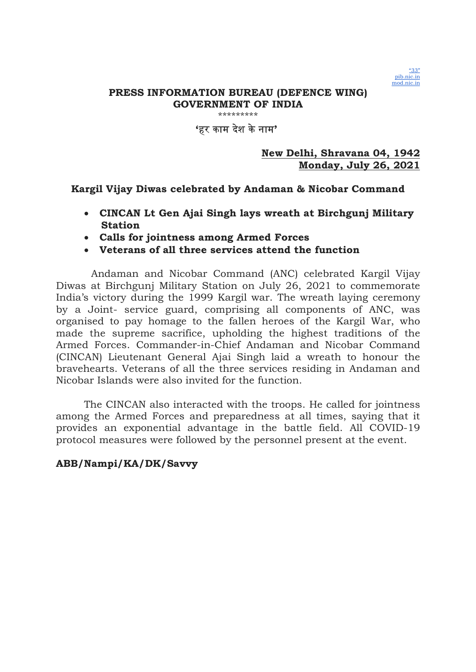

\*\*\*\*\*\*\*\*\*

## 'हर काम दशे केनाम'

### New Delhi, Shravana 04, 1942 Monday, July 26, 2021

# Kargil Vijay Diwas celebrated by Andaman & Nicobar Command

- CINCAN Lt Gen Ajai Singh lays wreath at Birchgunj Military Station
- Calls for jointness among Armed Forces
- Veterans of all three services attend the function

 Andaman and Nicobar Command (ANC) celebrated Kargil Vijay Diwas at Birchgunj Military Station on July 26, 2021 to commemorate India's victory during the 1999 Kargil war. The wreath laying ceremony by a Joint- service guard, comprising all components of ANC, was organised to pay homage to the fallen heroes of the Kargil War, who made the supreme sacrifice, upholding the highest traditions of the Armed Forces. Commander-in-Chief Andaman and Nicobar Command (CINCAN) Lieutenant General Ajai Singh laid a wreath to honour the bravehearts. Veterans of all the three services residing in Andaman and Nicobar Islands were also invited for the function.

The CINCAN also interacted with the troops. He called for jointness among the Armed Forces and preparedness at all times, saying that it provides an exponential advantage in the battle field. All COVID-19 protocol measures were followed by the personnel present at the event.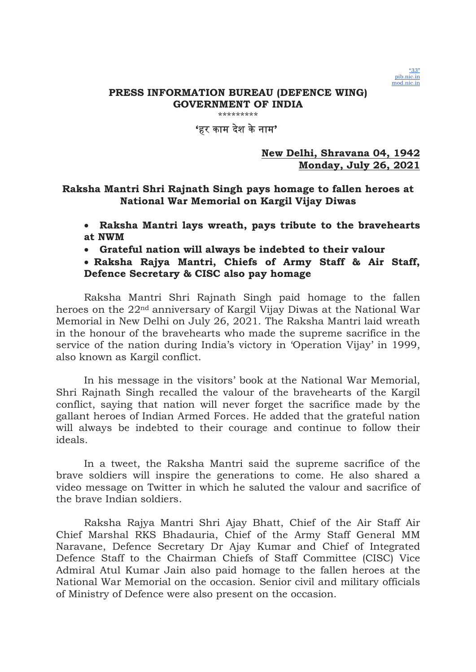

\*\*\*\*\*\*\*\*\*

# 'हर काम दशे केनाम'

## New Delhi, Shravana 04, 1942 Monday, July 26, 2021

# Raksha Mantri Shri Rajnath Singh pays homage to fallen heroes at National War Memorial on Kargil Vijay Diwas

- Raksha Mantri lays wreath, pays tribute to the bravehearts at NWM
- Grateful nation will always be indebted to their valour

# Raksha Rajya Mantri, Chiefs of Army Staff & Air Staff, Defence Secretary & CISC also pay homage

Raksha Mantri Shri Rajnath Singh paid homage to the fallen heroes on the 22nd anniversary of Kargil Vijay Diwas at the National War Memorial in New Delhi on July 26, 2021. The Raksha Mantri laid wreath in the honour of the bravehearts who made the supreme sacrifice in the service of the nation during India's victory in 'Operation Vijay' in 1999, also known as Kargil conflict.

In his message in the visitors' book at the National War Memorial, Shri Rajnath Singh recalled the valour of the bravehearts of the Kargil conflict, saying that nation will never forget the sacrifice made by the gallant heroes of Indian Armed Forces. He added that the grateful nation will always be indebted to their courage and continue to follow their ideals.

In a tweet, the Raksha Mantri said the supreme sacrifice of the brave soldiers will inspire the generations to come. He also shared a video message on Twitter in which he saluted the valour and sacrifice of the brave Indian soldiers.

Raksha Rajya Mantri Shri Ajay Bhatt, Chief of the Air Staff Air Chief Marshal RKS Bhadauria, Chief of the Army Staff General MM Naravane, Defence Secretary Dr Ajay Kumar and Chief of Integrated Defence Staff to the Chairman Chiefs of Staff Committee (CISC) Vice Admiral Atul Kumar Jain also paid homage to the fallen heroes at the National War Memorial on the occasion. Senior civil and military officials of Ministry of Defence were also present on the occasion.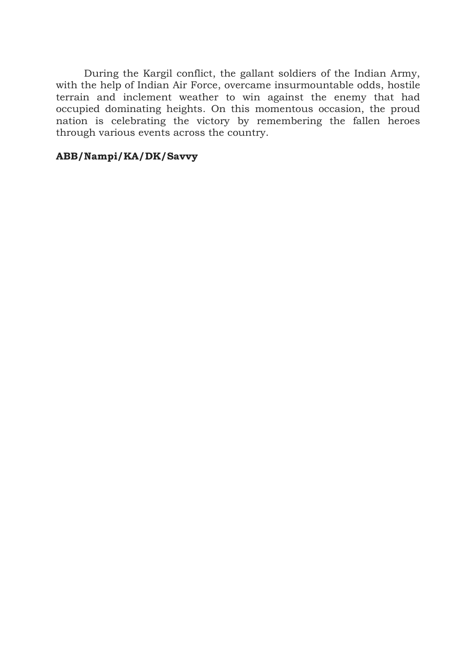During the Kargil conflict, the gallant soldiers of the Indian Army, with the help of Indian Air Force, overcame insurmountable odds, hostile terrain and inclement weather to win against the enemy that had occupied dominating heights. On this momentous occasion, the proud nation is celebrating the victory by remembering the fallen heroes through various events across the country.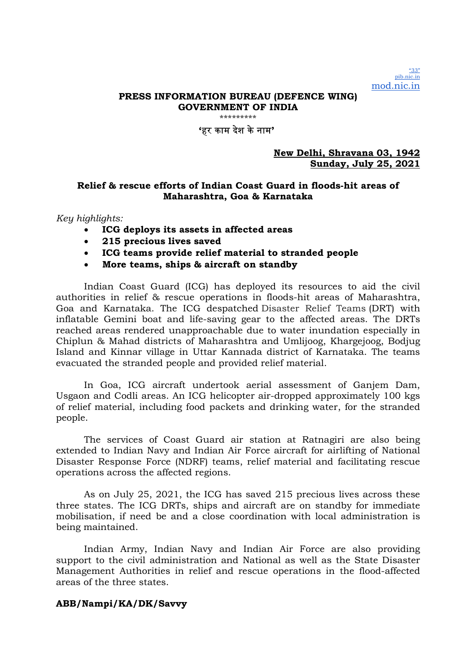"33" pib.nic.in mod.nic.in

### PRESS INFORMATION BUREAU (DEFENCE WING) GOVERNMENT OF INDIA

\*\*\*\*\*\*\*\*\*

#### 'हर काम देश केनाम'

#### New Delhi, Shravana 03, 1942 Sunday, July 25, 2021

### Relief & rescue efforts of Indian Coast Guard in floods-hit areas of Maharashtra, Goa & Karnataka

#### Key highlights:

- ICG deploys its assets in affected areas
- 215 precious lives saved
- ICG teams provide relief material to stranded people
- More teams, ships & aircraft on standby

Indian Coast Guard (ICG) has deployed its resources to aid the civil authorities in relief & rescue operations in floods-hit areas of Maharashtra, Goa and Karnataka. The ICG despatched Disaster Relief Teams (DRT) with inflatable Gemini boat and life-saving gear to the affected areas. The DRTs reached areas rendered unapproachable due to water inundation especially in Chiplun & Mahad districts of Maharashtra and Umlijoog, Khargejoog, Bodjug Island and Kinnar village in Uttar Kannada district of Karnataka. The teams evacuated the stranded people and provided relief material.

In Goa, ICG aircraft undertook aerial assessment of Ganjem Dam, Usgaon and Codli areas. An ICG helicopter air-dropped approximately 100 kgs of relief material, including food packets and drinking water, for the stranded people.

The services of Coast Guard air station at Ratnagiri are also being extended to Indian Navy and Indian Air Force aircraft for airlifting of National Disaster Response Force (NDRF) teams, relief material and facilitating rescue operations across the affected regions.

As on July 25, 2021, the ICG has saved 215 precious lives across these three states. The ICG DRTs, ships and aircraft are on standby for immediate mobilisation, if need be and a close coordination with local administration is being maintained.

Indian Army, Indian Navy and Indian Air Force are also providing support to the civil administration and National as well as the State Disaster Management Authorities in relief and rescue operations in the flood-affected areas of the three states.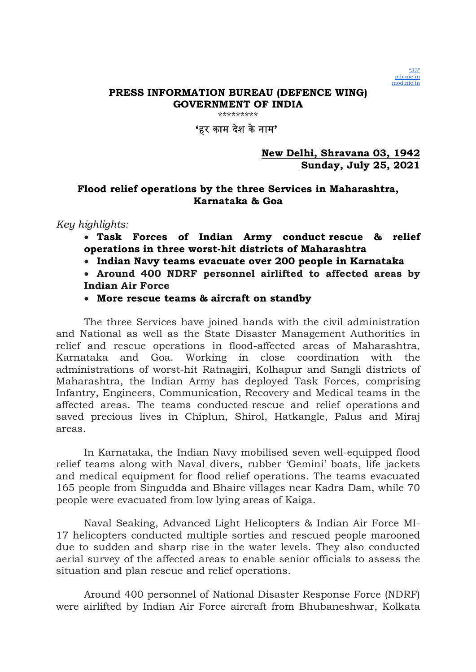

\*\*\*\*\*\*\*\*\*

# 'हर काम दशे केनाम'

## New Delhi, Shravana 03, 1942 Sunday, July 25, 2021

# Flood relief operations by the three Services in Maharashtra, Karnataka & Goa

# Key highlights:

- Task Forces of Indian Army conduct rescue & relief operations in three worst-hit districts of Maharashtra
- Indian Navy teams evacuate over 200 people in Karnataka
- Around 400 NDRF personnel airlifted to affected areas by Indian Air Force
- More rescue teams & aircraft on standby

The three Services have joined hands with the civil administration and National as well as the State Disaster Management Authorities in relief and rescue operations in flood-affected areas of Maharashtra, Karnataka and Goa. Working in close coordination with the administrations of worst-hit Ratnagiri, Kolhapur and Sangli districts of Maharashtra, the Indian Army has deployed Task Forces, comprising Infantry, Engineers, Communication, Recovery and Medical teams in the affected areas. The teams conducted rescue and relief operations and saved precious lives in Chiplun, Shirol, Hatkangle, Palus and Miraj areas.

In Karnataka, the Indian Navy mobilised seven well-equipped flood relief teams along with Naval divers, rubber 'Gemini' boats, life jackets and medical equipment for flood relief operations. The teams evacuated 165 people from Singudda and Bhaire villages near Kadra Dam, while 70 people were evacuated from low lying areas of Kaiga.

Naval Seaking, Advanced Light Helicopters & Indian Air Force MI-17 helicopters conducted multiple sorties and rescued people marooned due to sudden and sharp rise in the water levels. They also conducted aerial survey of the affected areas to enable senior officials to assess the situation and plan rescue and relief operations.

Around 400 personnel of National Disaster Response Force (NDRF) were airlifted by Indian Air Force aircraft from Bhubaneshwar, Kolkata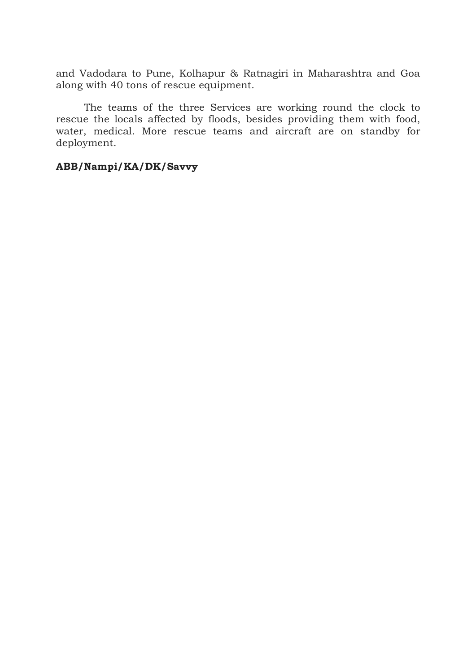and Vadodara to Pune, Kolhapur & Ratnagiri in Maharashtra and Goa along with 40 tons of rescue equipment.

The teams of the three Services are working round the clock to rescue the locals affected by floods, besides providing them with food, water, medical. More rescue teams and aircraft are on standby for deployment.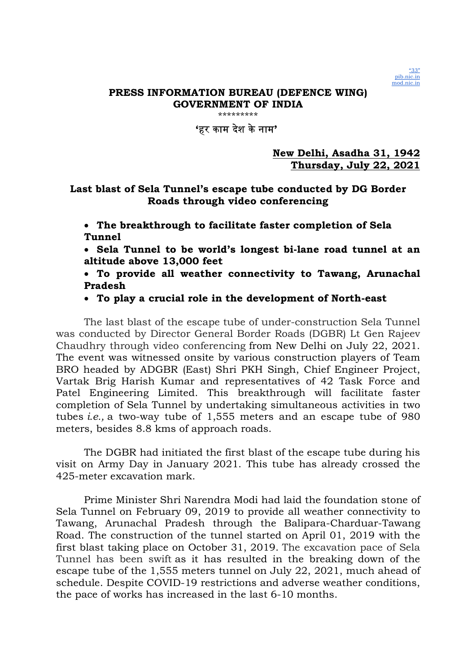

\*\*\*\*\*\*\*\*\*

# 'हर काम दशे केनाम'

# New Delhi, Asadha 31, 1942 Thursday, July 22, 2021

# Last blast of Sela Tunnel's escape tube conducted by DG Border Roads through video conferencing

 The breakthrough to facilitate faster completion of Sela Tunnel

 Sela Tunnel to be world's longest bi-lane road tunnel at an altitude above 13,000 feet

 To provide all weather connectivity to Tawang, Arunachal Pradesh

To play a crucial role in the development of North-east

The last blast of the escape tube of under-construction Sela Tunnel was conducted by Director General Border Roads (DGBR) Lt Gen Rajeev Chaudhry through video conferencing from New Delhi on July 22, 2021. The event was witnessed onsite by various construction players of Team BRO headed by ADGBR (East) Shri PKH Singh, Chief Engineer Project, Vartak Brig Harish Kumar and representatives of 42 Task Force and Patel Engineering Limited. This breakthrough will facilitate faster completion of Sela Tunnel by undertaking simultaneous activities in two tubes i.e., a two-way tube of 1,555 meters and an escape tube of 980 meters, besides 8.8 kms of approach roads.

The DGBR had initiated the first blast of the escape tube during his visit on Army Day in January 2021. This tube has already crossed the 425-meter excavation mark.

Prime Minister Shri Narendra Modi had laid the foundation stone of Sela Tunnel on February 09, 2019 to provide all weather connectivity to Tawang, Arunachal Pradesh through the Balipara-Charduar-Tawang Road. The construction of the tunnel started on April 01, 2019 with the first blast taking place on October 31, 2019. The excavation pace of Sela Tunnel has been swift as it has resulted in the breaking down of the escape tube of the 1,555 meters tunnel on July 22, 2021, much ahead of schedule. Despite COVID-19 restrictions and adverse weather conditions, the pace of works has increased in the last 6-10 months.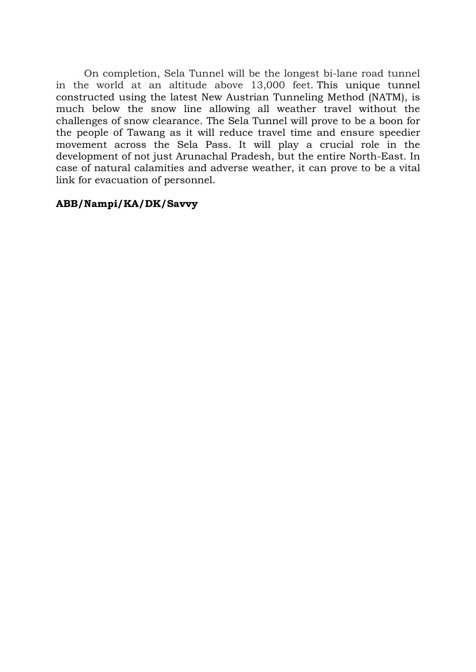On completion, Sela Tunnel will be the longest bi-lane road tunnel in the world at an altitude above 13,000 feet. This unique tunnel constructed using the latest New Austrian Tunneling Method (NATM), is much below the snow line allowing all weather travel without the challenges of snow clearance. The Sela Tunnel will prove to be a boon for the people of Tawang as it will reduce travel time and ensure speedier movement across the Sela Pass. It will play a crucial role in the development of not just Arunachal Pradesh, but the entire North-East. In case of natural calamities and adverse weather, it can prove to be a vital link for evacuation of personnel.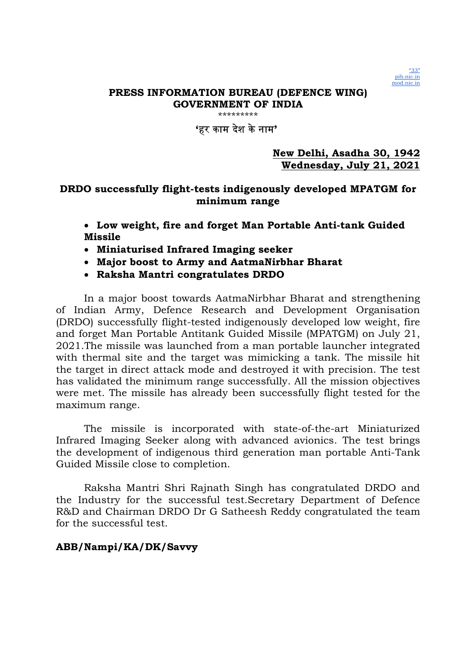

\*\*\*\*\*\*\*\*\*

## 'हर काम दशे केनाम'

New Delhi, Asadha 30, 1942 Wednesday, July 21, 2021

# DRDO successfully flight-tests indigenously developed MPATGM for minimum range

 Low weight, fire and forget Man Portable Anti-tank Guided Missile

- Miniaturised Infrared Imaging seeker
- Major boost to Army and AatmaNirbhar Bharat
- Raksha Mantri congratulates DRDO

In a major boost towards AatmaNirbhar Bharat and strengthening of Indian Army, Defence Research and Development Organisation (DRDO) successfully flight-tested indigenously developed low weight, fire and forget Man Portable Antitank Guided Missile (MPATGM) on July 21, 2021.The missile was launched from a man portable launcher integrated with thermal site and the target was mimicking a tank. The missile hit the target in direct attack mode and destroyed it with precision. The test has validated the minimum range successfully. All the mission objectives were met. The missile has already been successfully flight tested for the maximum range.

The missile is incorporated with state-of-the-art Miniaturized Infrared Imaging Seeker along with advanced avionics. The test brings the development of indigenous third generation man portable Anti-Tank Guided Missile close to completion.

Raksha Mantri Shri Rajnath Singh has congratulated DRDO and the Industry for the successful test.Secretary Department of Defence R&D and Chairman DRDO Dr G Satheesh Reddy congratulated the team for the successful test.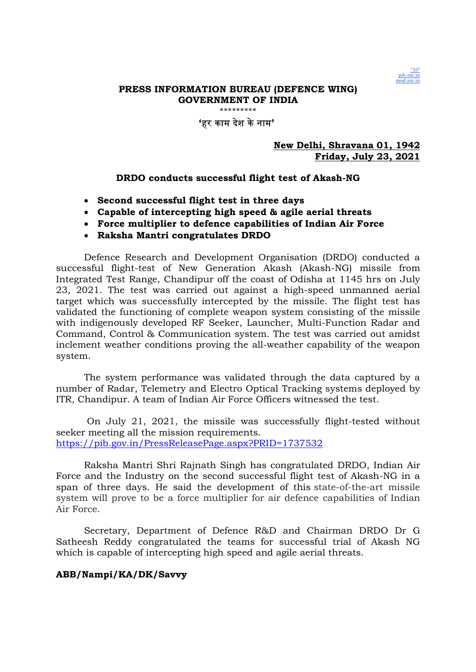

#### 'हर काम देश केनाम'

#### New Delhi, Shravana 01, 1942 Friday, July 23, 2021

#### DRDO conducts successful flight test of Akash-NG

- Second successful flight test in three days
- Capable of intercepting high speed & agile aerial threats
- Force multiplier to defence capabilities of Indian Air Force
- Raksha Mantri congratulates DRDO

Defence Research and Development Organisation (DRDO) conducted a successful flight-test of New Generation Akash (Akash-NG) missile from Integrated Test Range, Chandipur off the coast of Odisha at 1145 hrs on July 23, 2021. The test was carried out against a high-speed unmanned aerial target which was successfully intercepted by the missile. The flight test has validated the functioning of complete weapon system consisting of the missile with indigenously developed RF Seeker, Launcher, Multi-Function Radar and Command, Control & Communication system. The test was carried out amidst inclement weather conditions proving the all-weather capability of the weapon system.

The system performance was validated through the data captured by a number of Radar, Telemetry and Electro Optical Tracking systems deployed by ITR, Chandipur. A team of Indian Air Force Officers witnessed the test.

 On July 21, 2021, the missile was successfully flight-tested without seeker meeting all the mission requirements. https://pib.gov.in/PressReleasePage.aspx?PRID=1737532

Raksha Mantri Shri Rajnath Singh has congratulated DRDO, Indian Air Force and the Industry on the second successful flight test of Akash-NG in a span of three days. He said the development of this state-of-the-art missile system will prove to be a force multiplier for air defence capabilities of Indian Air Force.

Secretary, Department of Defence R&D and Chairman DRDO Dr G Satheesh Reddy congratulated the teams for successful trial of Akash NG which is capable of intercepting high speed and agile aerial threats.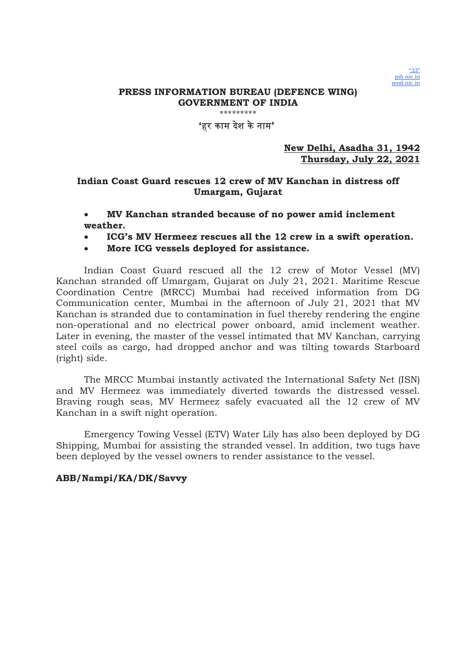

\*\*\*\*\*\*\*\*\*

#### 'हर काम देश केनाम'

#### New Delhi, Asadha 31, 1942 Thursday, July 22, 2021

### Indian Coast Guard rescues 12 crew of MV Kanchan in distress off Umargam, Gujarat

### MV Kanchan stranded because of no power amid inclement weather.

- ICG's MV Hermeez rescues all the 12 crew in a swift operation.
- More ICG vessels deployed for assistance.

Indian Coast Guard rescued all the 12 crew of Motor Vessel (MV) Kanchan stranded off Umargam, Gujarat on July 21, 2021. Maritime Rescue Coordination Centre (MRCC) Mumbai had received information from DG Communication center, Mumbai in the afternoon of July 21, 2021 that MV Kanchan is stranded due to contamination in fuel thereby rendering the engine non-operational and no electrical power onboard, amid inclement weather. Later in evening, the master of the vessel intimated that MV Kanchan, carrying steel coils as cargo, had dropped anchor and was tilting towards Starboard (right) side.

The MRCC Mumbai instantly activated the International Safety Net (ISN) and MV Hermeez was immediately diverted towards the distressed vessel. Braving rough seas, MV Hermeez safely evacuated all the 12 crew of MV Kanchan in a swift night operation.

Emergency Towing Vessel (ETV) Water Lily has also been deployed by DG Shipping, Mumbai for assisting the stranded vessel. In addition, two tugs have been deployed by the vessel owners to render assistance to the vessel.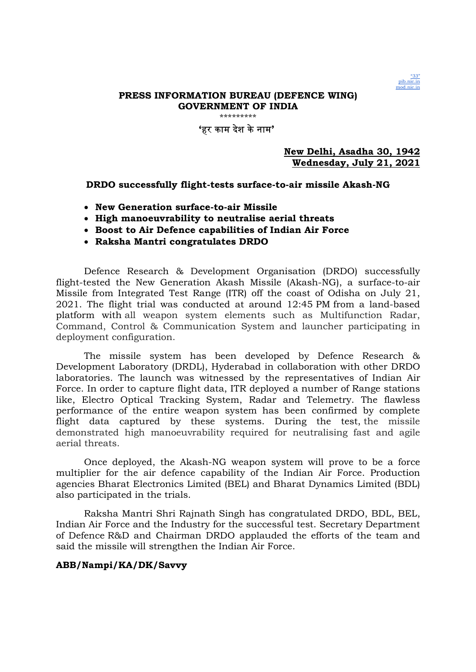

\*\*\*\*\*\*\*\*\*

### 'हर काम देश केनाम'

New Delhi, Asadha 30, 1942 Wednesday, July 21, 2021

#### DRDO successfully flight-tests surface-to-air missile Akash-NG

- New Generation surface-to-air Missile
- High manoeuvrability to neutralise aerial threats
- Boost to Air Defence capabilities of Indian Air Force
- Raksha Mantri congratulates DRDO

Defence Research & Development Organisation (DRDO) successfully flight-tested the New Generation Akash Missile (Akash-NG), a surface-to-air Missile from Integrated Test Range (ITR) off the coast of Odisha on July 21, 2021. The flight trial was conducted at around 12:45 PM from a land-based platform with all weapon system elements such as Multifunction Radar, Command, Control & Communication System and launcher participating in deployment configuration.

The missile system has been developed by Defence Research & Development Laboratory (DRDL), Hyderabad in collaboration with other DRDO laboratories. The launch was witnessed by the representatives of Indian Air Force. In order to capture flight data, ITR deployed a number of Range stations like, Electro Optical Tracking System, Radar and Telemetry. The flawless performance of the entire weapon system has been confirmed by complete flight data captured by these systems. During the test, the missile demonstrated high manoeuvrability required for neutralising fast and agile aerial threats.

Once deployed, the Akash-NG weapon system will prove to be a force multiplier for the air defence capability of the Indian Air Force. Production agencies Bharat Electronics Limited (BEL) and Bharat Dynamics Limited (BDL) also participated in the trials.

Raksha Mantri Shri Rajnath Singh has congratulated DRDO, BDL, BEL, Indian Air Force and the Industry for the successful test. Secretary Department of Defence R&D and Chairman DRDO applauded the efforts of the team and said the missile will strengthen the Indian Air Force.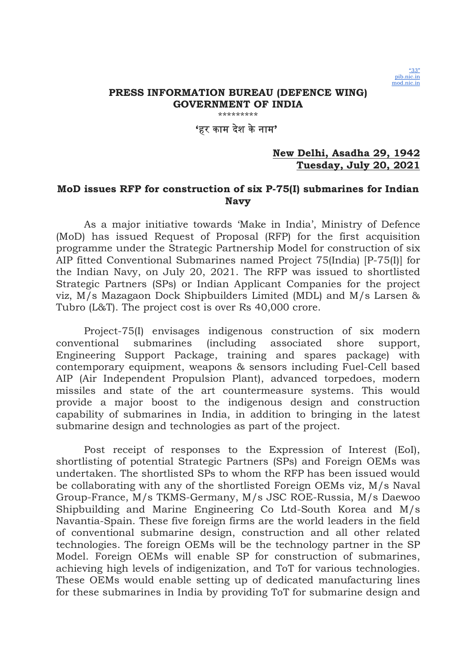

\*\*\*\*\*\*\*\*\*

## 'हर काम दशे केनाम'

### New Delhi, Asadha 29, 1942 Tuesday, July 20, 2021

## MoD issues RFP for construction of six P-75(I) submarines for Indian Navy

As a major initiative towards 'Make in India', Ministry of Defence (MoD) has issued Request of Proposal (RFP) for the first acquisition programme under the Strategic Partnership Model for construction of six AIP fitted Conventional Submarines named Project 75(India) [P-75(I)] for the Indian Navy, on July 20, 2021. The RFP was issued to shortlisted Strategic Partners (SPs) or Indian Applicant Companies for the project viz, M/s Mazagaon Dock Shipbuilders Limited (MDL) and M/s Larsen & Tubro (L&T). The project cost is over Rs 40,000 crore.

Project-75(I) envisages indigenous construction of six modern conventional submarines (including associated shore support, Engineering Support Package, training and spares package) with contemporary equipment, weapons & sensors including Fuel-Cell based AIP (Air Independent Propulsion Plant), advanced torpedoes, modern missiles and state of the art countermeasure systems. This would provide a major boost to the indigenous design and construction capability of submarines in India, in addition to bringing in the latest submarine design and technologies as part of the project.

Post receipt of responses to the Expression of Interest (EoI), shortlisting of potential Strategic Partners (SPs) and Foreign OEMs was undertaken. The shortlisted SPs to whom the RFP has been issued would be collaborating with any of the shortlisted Foreign OEMs viz, M/s Naval Group-France, M/s TKMS-Germany, M/s JSC ROE-Russia, M/s Daewoo Shipbuilding and Marine Engineering Co Ltd-South Korea and M/s Navantia-Spain. These five foreign firms are the world leaders in the field of conventional submarine design, construction and all other related technologies. The foreign OEMs will be the technology partner in the SP Model. Foreign OEMs will enable SP for construction of submarines, achieving high levels of indigenization, and ToT for various technologies. These OEMs would enable setting up of dedicated manufacturing lines for these submarines in India by providing ToT for submarine design and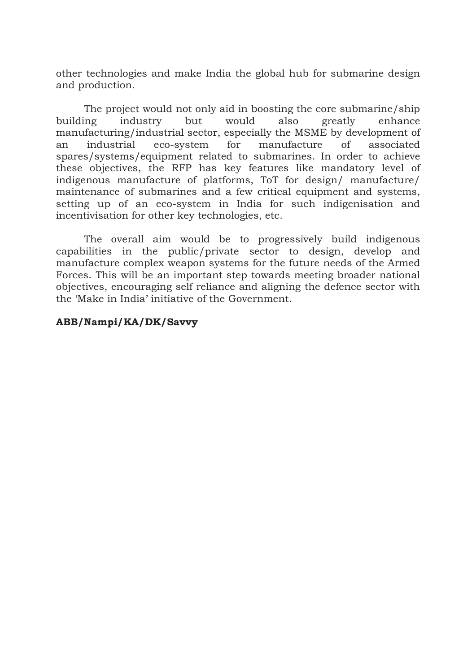other technologies and make India the global hub for submarine design and production.

The project would not only aid in boosting the core submarine/ship building industry but would also greatly enhance manufacturing/industrial sector, especially the MSME by development of an industrial eco-system for manufacture of associated spares/systems/equipment related to submarines. In order to achieve these objectives, the RFP has key features like mandatory level of indigenous manufacture of platforms, ToT for design/ manufacture/ maintenance of submarines and a few critical equipment and systems, setting up of an eco-system in India for such indigenisation and incentivisation for other key technologies, etc.

The overall aim would be to progressively build indigenous capabilities in the public/private sector to design, develop and manufacture complex weapon systems for the future needs of the Armed Forces. This will be an important step towards meeting broader national objectives, encouraging self reliance and aligning the defence sector with the 'Make in India' initiative of the Government.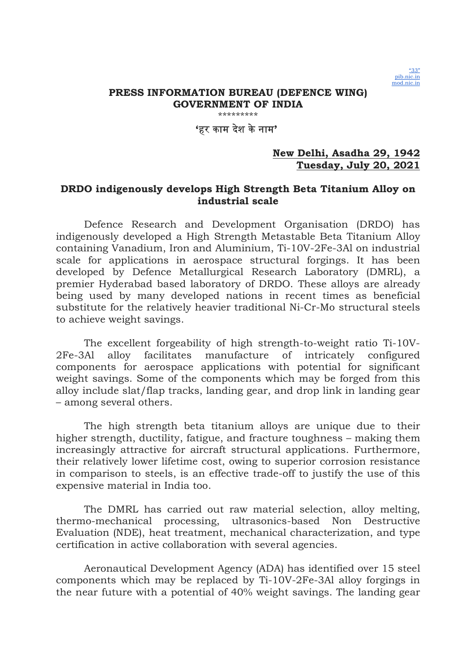

\*\*\*\*\*\*\*\*\*

## 'हर काम दशे केनाम'

### New Delhi, Asadha 29, 1942 Tuesday, July 20, 2021

## DRDO indigenously develops High Strength Beta Titanium Alloy on industrial scale

Defence Research and Development Organisation (DRDO) has indigenously developed a High Strength Metastable Beta Titanium Alloy containing Vanadium, Iron and Aluminium, Ti-10V-2Fe-3Al on industrial scale for applications in aerospace structural forgings. It has been developed by Defence Metallurgical Research Laboratory (DMRL), a premier Hyderabad based laboratory of DRDO. These alloys are already being used by many developed nations in recent times as beneficial substitute for the relatively heavier traditional Ni-Cr-Mo structural steels to achieve weight savings.

The excellent forgeability of high strength-to-weight ratio Ti-10V-2Fe-3Al alloy facilitates manufacture of intricately configured components for aerospace applications with potential for significant weight savings. Some of the components which may be forged from this alloy include slat/flap tracks, landing gear, and drop link in landing gear – among several others.

The high strength beta titanium alloys are unique due to their higher strength, ductility, fatigue, and fracture toughness – making them increasingly attractive for aircraft structural applications. Furthermore, their relatively lower lifetime cost, owing to superior corrosion resistance in comparison to steels, is an effective trade-off to justify the use of this expensive material in India too.

The DMRL has carried out raw material selection, alloy melting, thermo-mechanical processing, ultrasonics-based Non Destructive Evaluation (NDE), heat treatment, mechanical characterization, and type certification in active collaboration with several agencies.

Aeronautical Development Agency (ADA) has identified over 15 steel components which may be replaced by Ti-10V-2Fe-3Al alloy forgings in the near future with a potential of 40% weight savings. The landing gear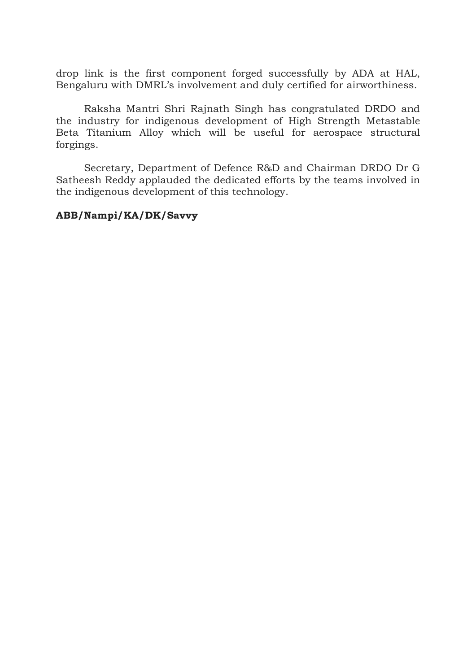drop link is the first component forged successfully by ADA at HAL, Bengaluru with DMRL's involvement and duly certified for airworthiness.

Raksha Mantri Shri Rajnath Singh has congratulated DRDO and the industry for indigenous development of High Strength Metastable Beta Titanium Alloy which will be useful for aerospace structural forgings.

Secretary, Department of Defence R&D and Chairman DRDO Dr G Satheesh Reddy applauded the dedicated efforts by the teams involved in the indigenous development of this technology.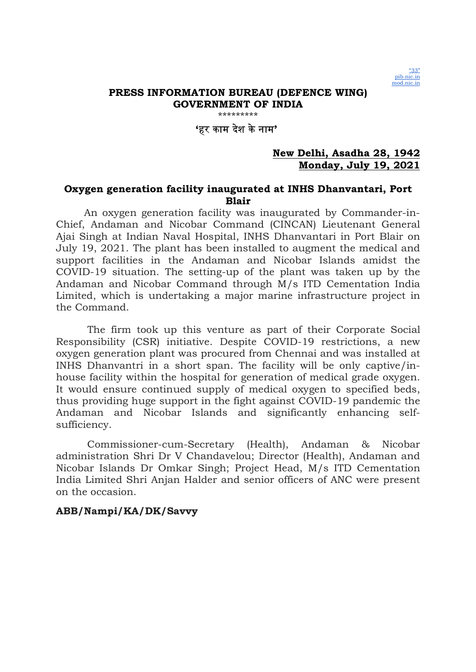

\*\*\*\*\*\*\*\*\*

## 'हर काम दशे केनाम'

### New Delhi, Asadha 28, 1942 Monday, July 19, 2021

### Oxygen generation facility inaugurated at INHS Dhanvantari, Port Blair

An oxygen generation facility was inaugurated by Commander-in-Chief, Andaman and Nicobar Command (CINCAN) Lieutenant General Ajai Singh at Indian Naval Hospital, INHS Dhanvantari in Port Blair on July 19, 2021. The plant has been installed to augment the medical and support facilities in the Andaman and Nicobar Islands amidst the COVID-19 situation. The setting-up of the plant was taken up by the Andaman and Nicobar Command through M/s ITD Cementation India Limited, which is undertaking a major marine infrastructure project in the Command.

 The firm took up this venture as part of their Corporate Social Responsibility (CSR) initiative. Despite COVID-19 restrictions, a new oxygen generation plant was procured from Chennai and was installed at INHS Dhanvantri in a short span. The facility will be only captive/inhouse facility within the hospital for generation of medical grade oxygen. It would ensure continued supply of medical oxygen to specified beds, thus providing huge support in the fight against COVID-19 pandemic the Andaman and Nicobar Islands and significantly enhancing selfsufficiency.

 Commissioner-cum-Secretary (Health), Andaman & Nicobar administration Shri Dr V Chandavelou; Director (Health), Andaman and Nicobar Islands Dr Omkar Singh; Project Head, M/s ITD Cementation India Limited Shri Anjan Halder and senior officers of ANC were present on the occasion.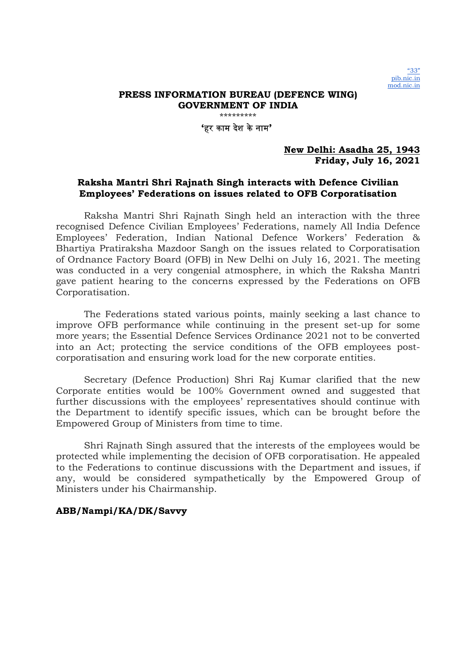'हर काम दशे केनाम'

#### New Delhi: Asadha 25, 1943 Friday, July 16, 2021

### Raksha Mantri Shri Rajnath Singh interacts with Defence Civilian Employees' Federations on issues related to OFB Corporatisation

Raksha Mantri Shri Rajnath Singh held an interaction with the three recognised Defence Civilian Employees' Federations, namely All India Defence Employees' Federation, Indian National Defence Workers' Federation & Bhartiya Pratiraksha Mazdoor Sangh on the issues related to Corporatisation of Ordnance Factory Board (OFB) in New Delhi on July 16, 2021. The meeting was conducted in a very congenial atmosphere, in which the Raksha Mantri gave patient hearing to the concerns expressed by the Federations on OFB Corporatisation.

The Federations stated various points, mainly seeking a last chance to improve OFB performance while continuing in the present set-up for some more years; the Essential Defence Services Ordinance 2021 not to be converted into an Act; protecting the service conditions of the OFB employees postcorporatisation and ensuring work load for the new corporate entities.

Secretary (Defence Production) Shri Raj Kumar clarified that the new Corporate entities would be 100% Government owned and suggested that further discussions with the employees' representatives should continue with the Department to identify specific issues, which can be brought before the Empowered Group of Ministers from time to time.

Shri Rajnath Singh assured that the interests of the employees would be protected while implementing the decision of OFB corporatisation. He appealed to the Federations to continue discussions with the Department and issues, if any, would be considered sympathetically by the Empowered Group of Ministers under his Chairmanship.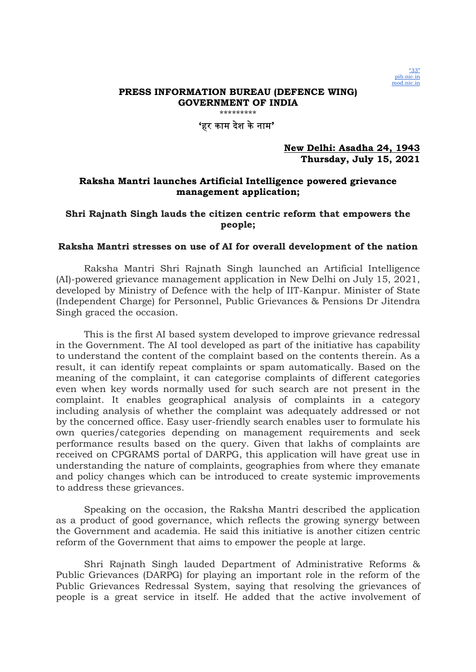

\*\*\*\*\*\*\*\*\*

'हर काम देश केनाम'

New Delhi: Asadha 24, 1943 Thursday, July 15, 2021

### Raksha Mantri launches Artificial Intelligence powered grievance management application;

### Shri Rajnath Singh lauds the citizen centric reform that empowers the people;

#### Raksha Mantri stresses on use of AI for overall development of the nation

Raksha Mantri Shri Rajnath Singh launched an Artificial Intelligence (AI)-powered grievance management application in New Delhi on July 15, 2021, developed by Ministry of Defence with the help of IIT-Kanpur. Minister of State (Independent Charge) for Personnel, Public Grievances & Pensions Dr Jitendra Singh graced the occasion.

This is the first AI based system developed to improve grievance redressal in the Government. The AI tool developed as part of the initiative has capability to understand the content of the complaint based on the contents therein. As a result, it can identify repeat complaints or spam automatically. Based on the meaning of the complaint, it can categorise complaints of different categories even when key words normally used for such search are not present in the complaint. It enables geographical analysis of complaints in a category including analysis of whether the complaint was adequately addressed or not by the concerned office. Easy user-friendly search enables user to formulate his own queries/categories depending on management requirements and seek performance results based on the query. Given that lakhs of complaints are received on CPGRAMS portal of DARPG, this application will have great use in understanding the nature of complaints, geographies from where they emanate and policy changes which can be introduced to create systemic improvements to address these grievances.

Speaking on the occasion, the Raksha Mantri described the application as a product of good governance, which reflects the growing synergy between the Government and academia. He said this initiative is another citizen centric reform of the Government that aims to empower the people at large.

Shri Rajnath Singh lauded Department of Administrative Reforms & Public Grievances (DARPG) for playing an important role in the reform of the Public Grievances Redressal System, saying that resolving the grievances of people is a great service in itself. He added that the active involvement of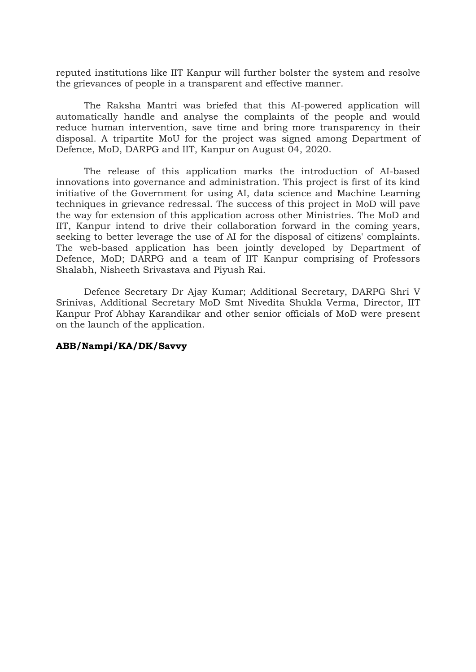reputed institutions like IIT Kanpur will further bolster the system and resolve the grievances of people in a transparent and effective manner.

The Raksha Mantri was briefed that this AI-powered application will automatically handle and analyse the complaints of the people and would reduce human intervention, save time and bring more transparency in their disposal. A tripartite MoU for the project was signed among Department of Defence, MoD, DARPG and IIT, Kanpur on August 04, 2020.

The release of this application marks the introduction of AI-based innovations into governance and administration. This project is first of its kind initiative of the Government for using AI, data science and Machine Learning techniques in grievance redressal. The success of this project in MoD will pave the way for extension of this application across other Ministries. The MoD and IIT, Kanpur intend to drive their collaboration forward in the coming years, seeking to better leverage the use of AI for the disposal of citizens' complaints. The web-based application has been jointly developed by Department of Defence, MoD; DARPG and a team of IIT Kanpur comprising of Professors Shalabh, Nisheeth Srivastava and Piyush Rai.

Defence Secretary Dr Ajay Kumar; Additional Secretary, DARPG Shri V Srinivas, Additional Secretary MoD Smt Nivedita Shukla Verma, Director, IIT Kanpur Prof Abhay Karandikar and other senior officials of MoD were present on the launch of the application.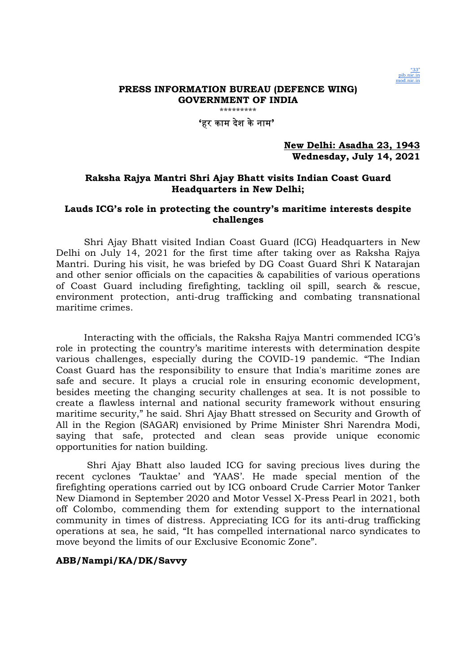

'हर काम देश केनाम'

New Delhi: Asadha 23, 1943 Wednesday, July 14, 2021

### Raksha Rajya Mantri Shri Ajay Bhatt visits Indian Coast Guard Headquarters in New Delhi;

#### Lauds ICG's role in protecting the country's maritime interests despite challenges

Shri Ajay Bhatt visited Indian Coast Guard (ICG) Headquarters in New Delhi on July 14, 2021 for the first time after taking over as Raksha Rajya Mantri. During his visit, he was briefed by DG Coast Guard Shri K Natarajan and other senior officials on the capacities & capabilities of various operations of Coast Guard including firefighting, tackling oil spill, search & rescue, environment protection, anti-drug trafficking and combating transnational maritime crimes.

Interacting with the officials, the Raksha Rajya Mantri commended ICG's role in protecting the country's maritime interests with determination despite various challenges, especially during the COVID-19 pandemic. "The Indian Coast Guard has the responsibility to ensure that India's maritime zones are safe and secure. It plays a crucial role in ensuring economic development, besides meeting the changing security challenges at sea. It is not possible to create a flawless internal and national security framework without ensuring maritime security," he said. Shri Ajay Bhatt stressed on Security and Growth of All in the Region (SAGAR) envisioned by Prime Minister Shri Narendra Modi, saying that safe, protected and clean seas provide unique economic opportunities for nation building.

 Shri Ajay Bhatt also lauded ICG for saving precious lives during the recent cyclones 'Tauktae' and 'YAAS'. He made special mention of the firefighting operations carried out by ICG onboard Crude Carrier Motor Tanker New Diamond in September 2020 and Motor Vessel X-Press Pearl in 2021, both off Colombo, commending them for extending support to the international community in times of distress. Appreciating ICG for its anti-drug trafficking operations at sea, he said, "It has compelled international narco syndicates to move beyond the limits of our Exclusive Economic Zone".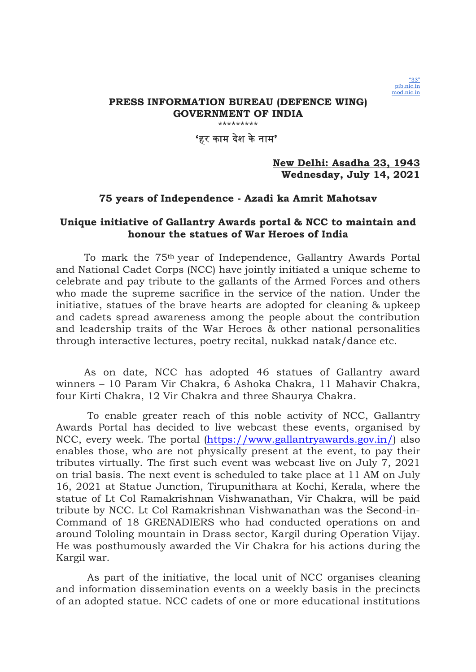

### 'हर काम दशे केनाम'

### New Delhi: Asadha 23, 1943 Wednesday, July 14, 2021

### 75 years of Independence - Azadi ka Amrit Mahotsav

### Unique initiative of Gallantry Awards portal & NCC to maintain and honour the statues of War Heroes of India

To mark the 75th year of Independence, Gallantry Awards Portal and National Cadet Corps (NCC) have jointly initiated a unique scheme to celebrate and pay tribute to the gallants of the Armed Forces and others who made the supreme sacrifice in the service of the nation. Under the initiative, statues of the brave hearts are adopted for cleaning & upkeep and cadets spread awareness among the people about the contribution and leadership traits of the War Heroes & other national personalities through interactive lectures, poetry recital, nukkad natak/dance etc.

As on date, NCC has adopted 46 statues of Gallantry award winners – 10 Param Vir Chakra, 6 Ashoka Chakra, 11 Mahavir Chakra, four Kirti Chakra, 12 Vir Chakra and three Shaurya Chakra.

 To enable greater reach of this noble activity of NCC, Gallantry Awards Portal has decided to live webcast these events, organised by NCC, every week. The portal (https://www.gallantryawards.gov.in/) also enables those, who are not physically present at the event, to pay their tributes virtually. The first such event was webcast live on July 7, 2021 on trial basis. The next event is scheduled to take place at 11 AM on July 16, 2021 at Statue Junction, Tirupunithara at Kochi, Kerala, where the statue of Lt Col Ramakrishnan Vishwanathan, Vir Chakra, will be paid tribute by NCC. Lt Col Ramakrishnan Vishwanathan was the Second-in-Command of 18 GRENADIERS who had conducted operations on and around Tololing mountain in Drass sector, Kargil during Operation Vijay. He was posthumously awarded the Vir Chakra for his actions during the Kargil war.

 As part of the initiative, the local unit of NCC organises cleaning and information dissemination events on a weekly basis in the precincts of an adopted statue. NCC cadets of one or more educational institutions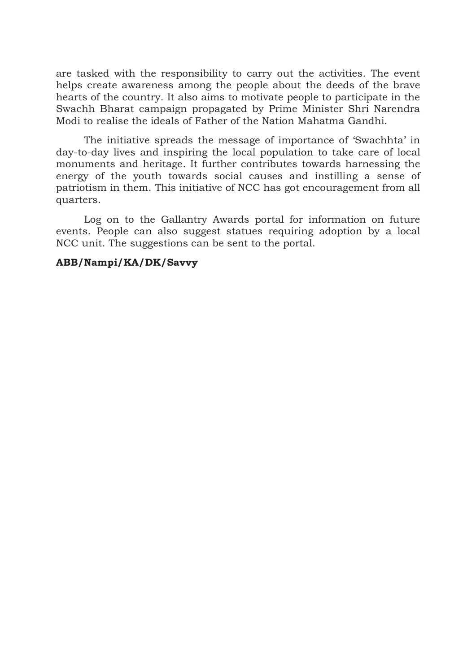are tasked with the responsibility to carry out the activities. The event helps create awareness among the people about the deeds of the brave hearts of the country. It also aims to motivate people to participate in the Swachh Bharat campaign propagated by Prime Minister Shri Narendra Modi to realise the ideals of Father of the Nation Mahatma Gandhi.

The initiative spreads the message of importance of 'Swachhta' in day-to-day lives and inspiring the local population to take care of local monuments and heritage. It further contributes towards harnessing the energy of the youth towards social causes and instilling a sense of patriotism in them. This initiative of NCC has got encouragement from all quarters.

Log on to the Gallantry Awards portal for information on future events. People can also suggest statues requiring adoption by a local NCC unit. The suggestions can be sent to the portal.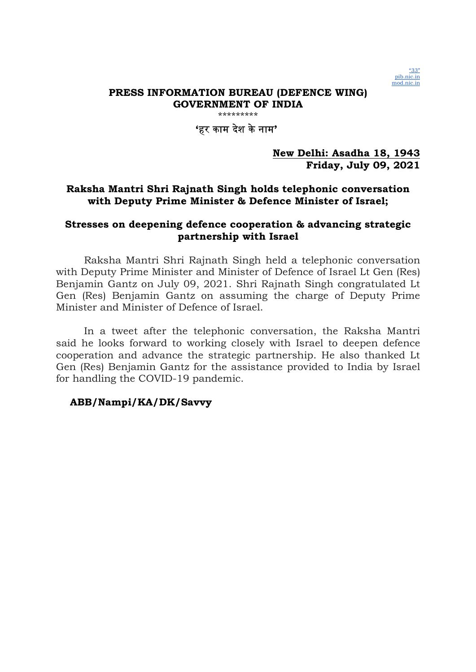

\*\*\*\*\*\*\*\*\*

## 'हर काम दशे केनाम'

## New Delhi: Asadha 18, 1943 Friday, July 09, 2021

# Raksha Mantri Shri Rajnath Singh holds telephonic conversation with Deputy Prime Minister & Defence Minister of Israel;

## Stresses on deepening defence cooperation & advancing strategic partnership with Israel

Raksha Mantri Shri Rajnath Singh held a telephonic conversation with Deputy Prime Minister and Minister of Defence of Israel Lt Gen (Res) Benjamin Gantz on July 09, 2021. Shri Rajnath Singh congratulated Lt Gen (Res) Benjamin Gantz on assuming the charge of Deputy Prime Minister and Minister of Defence of Israel.

In a tweet after the telephonic conversation, the Raksha Mantri said he looks forward to working closely with Israel to deepen defence cooperation and advance the strategic partnership. He also thanked Lt Gen (Res) Benjamin Gantz for the assistance provided to India by Israel for handling the COVID-19 pandemic.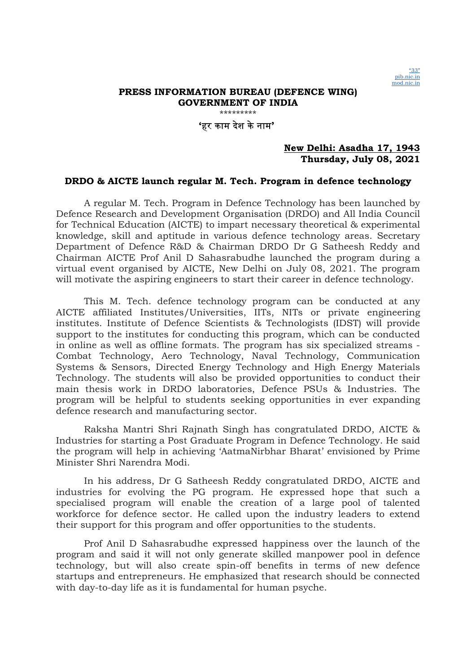

\*\*\*\*\*\*\*\*\*

'हर काम देश केनाम'

#### New Delhi: Asadha 17, 1943 Thursday, July 08, 2021

#### DRDO & AICTE launch regular M. Tech. Program in defence technology

A regular M. Tech. Program in Defence Technology has been launched by Defence Research and Development Organisation (DRDO) and All India Council for Technical Education (AICTE) to impart necessary theoretical & experimental knowledge, skill and aptitude in various defence technology areas. Secretary Department of Defence R&D & Chairman DRDO Dr G Satheesh Reddy and Chairman AICTE Prof Anil D Sahasrabudhe launched the program during a virtual event organised by AICTE, New Delhi on July 08, 2021. The program will motivate the aspiring engineers to start their career in defence technology.

This M. Tech. defence technology program can be conducted at any AICTE affiliated Institutes/Universities, IITs, NITs or private engineering institutes. Institute of Defence Scientists & Technologists (IDST) will provide support to the institutes for conducting this program, which can be conducted in online as well as offline formats. The program has six specialized streams - Combat Technology, Aero Technology, Naval Technology, Communication Systems & Sensors, Directed Energy Technology and High Energy Materials Technology. The students will also be provided opportunities to conduct their main thesis work in DRDO laboratories, Defence PSUs & Industries. The program will be helpful to students seeking opportunities in ever expanding defence research and manufacturing sector.

Raksha Mantri Shri Rajnath Singh has congratulated DRDO, AICTE & Industries for starting a Post Graduate Program in Defence Technology. He said the program will help in achieving 'AatmaNirbhar Bharat' envisioned by Prime Minister Shri Narendra Modi.

In his address, Dr G Satheesh Reddy congratulated DRDO, AICTE and industries for evolving the PG program. He expressed hope that such a specialised program will enable the creation of a large pool of talented workforce for defence sector. He called upon the industry leaders to extend their support for this program and offer opportunities to the students.

Prof Anil D Sahasrabudhe expressed happiness over the launch of the program and said it will not only generate skilled manpower pool in defence technology, but will also create spin-off benefits in terms of new defence startups and entrepreneurs. He emphasized that research should be connected with day-to-day life as it is fundamental for human psyche.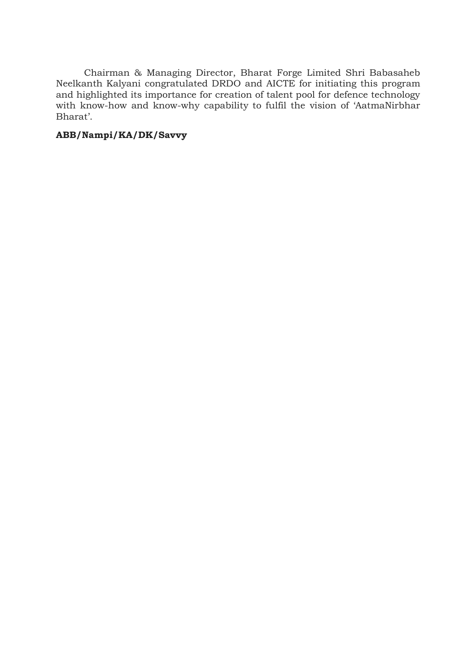Chairman & Managing Director, Bharat Forge Limited Shri Babasaheb Neelkanth Kalyani congratulated DRDO and AICTE for initiating this program and highlighted its importance for creation of talent pool for defence technology with know-how and know-why capability to fulfil the vision of 'AatmaNirbhar Bharat'.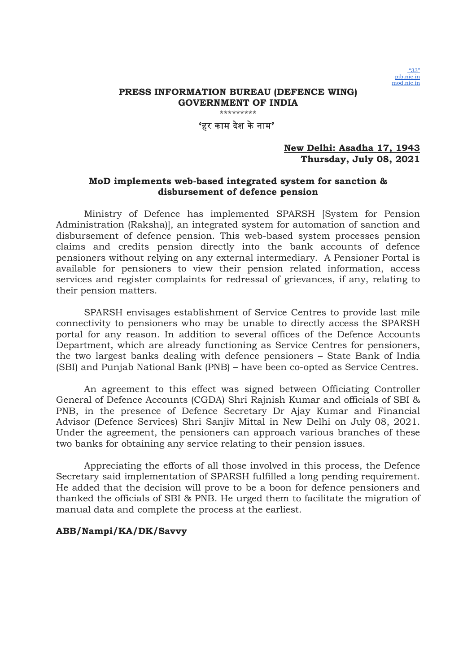

\*\*\*\*\*\*\*\*\*

'हर काम देश केनाम'

#### New Delhi: Asadha 17, 1943 Thursday, July 08, 2021

### MoD implements web-based integrated system for sanction & disbursement of defence pension

Ministry of Defence has implemented SPARSH [System for Pension Administration (Raksha)], an integrated system for automation of sanction and disbursement of defence pension. This web-based system processes pension claims and credits pension directly into the bank accounts of defence pensioners without relying on any external intermediary. A Pensioner Portal is available for pensioners to view their pension related information, access services and register complaints for redressal of grievances, if any, relating to their pension matters.

SPARSH envisages establishment of Service Centres to provide last mile connectivity to pensioners who may be unable to directly access the SPARSH portal for any reason. In addition to several offices of the Defence Accounts Department, which are already functioning as Service Centres for pensioners, the two largest banks dealing with defence pensioners – State Bank of India (SBI) and Punjab National Bank (PNB) – have been co-opted as Service Centres.

An agreement to this effect was signed between Officiating Controller General of Defence Accounts (CGDA) Shri Rajnish Kumar and officials of SBI & PNB, in the presence of Defence Secretary Dr Ajay Kumar and Financial Advisor (Defence Services) Shri Sanjiv Mittal in New Delhi on July 08, 2021. Under the agreement, the pensioners can approach various branches of these two banks for obtaining any service relating to their pension issues.

Appreciating the efforts of all those involved in this process, the Defence Secretary said implementation of SPARSH fulfilled a long pending requirement. He added that the decision will prove to be a boon for defence pensioners and thanked the officials of SBI & PNB. He urged them to facilitate the migration of manual data and complete the process at the earliest.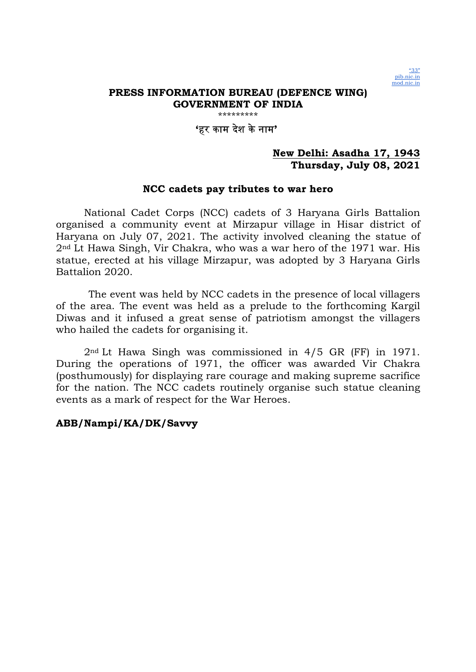

\*\*\*\*\*\*\*\*\*

## 'हर काम दशे केनाम'

## New Delhi: Asadha 17, 1943 Thursday, July 08, 2021

### NCC cadets pay tributes to war hero

National Cadet Corps (NCC) cadets of 3 Haryana Girls Battalion organised a community event at Mirzapur village in Hisar district of Haryana on July 07, 2021. The activity involved cleaning the statue of 2nd Lt Hawa Singh, Vir Chakra, who was a war hero of the 1971 war. His statue, erected at his village Mirzapur, was adopted by 3 Haryana Girls Battalion 2020.

 The event was held by NCC cadets in the presence of local villagers of the area. The event was held as a prelude to the forthcoming Kargil Diwas and it infused a great sense of patriotism amongst the villagers who hailed the cadets for organising it.

2nd Lt Hawa Singh was commissioned in 4/5 GR (FF) in 1971. During the operations of 1971, the officer was awarded Vir Chakra (posthumously) for displaying rare courage and making supreme sacrifice for the nation. The NCC cadets routinely organise such statue cleaning events as a mark of respect for the War Heroes.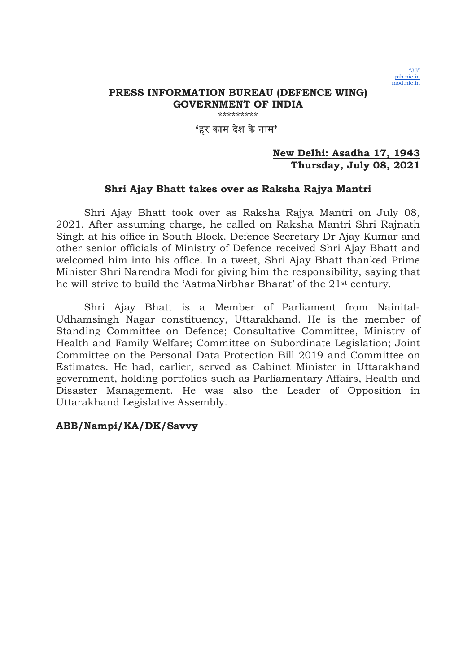

### 'हर काम दशे केनाम'

### New Delhi: Asadha 17, 1943 Thursday, July 08, 2021

#### Shri Ajay Bhatt takes over as Raksha Rajya Mantri

Shri Ajay Bhatt took over as Raksha Rajya Mantri on July 08, 2021. After assuming charge, he called on Raksha Mantri Shri Rajnath Singh at his office in South Block. Defence Secretary Dr Ajay Kumar and other senior officials of Ministry of Defence received Shri Ajay Bhatt and welcomed him into his office. In a tweet, Shri Ajay Bhatt thanked Prime Minister Shri Narendra Modi for giving him the responsibility, saying that he will strive to build the 'AatmaNirbhar Bharat' of the 21st century.

Shri Ajay Bhatt is a Member of Parliament from Nainital-Udhamsingh Nagar constituency, Uttarakhand. He is the member of Standing Committee on Defence; Consultative Committee, Ministry of Health and Family Welfare; Committee on Subordinate Legislation; Joint Committee on the Personal Data Protection Bill 2019 and Committee on Estimates. He had, earlier, served as Cabinet Minister in Uttarakhand government, holding portfolios such as Parliamentary Affairs, Health and Disaster Management. He was also the Leader of Opposition in Uttarakhand Legislative Assembly.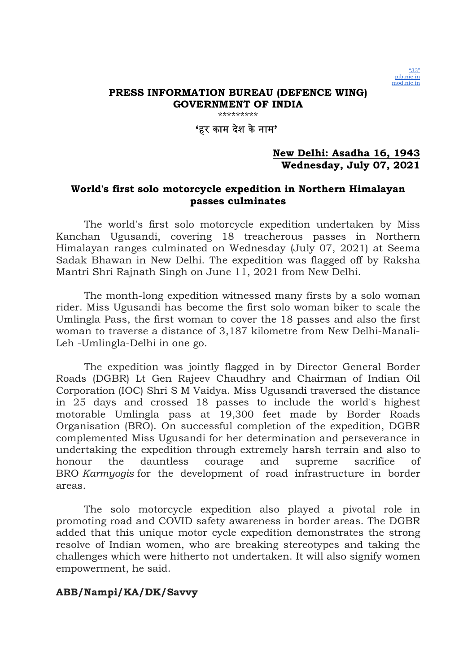

\*\*\*\*\*\*\*\*\*

## 'हर काम दशे केनाम'

## New Delhi: Asadha 16, 1943 Wednesday, July 07, 2021

## World's first solo motorcycle expedition in Northern Himalayan passes culminates

The world's first solo motorcycle expedition undertaken by Miss Kanchan Ugusandi, covering 18 treacherous passes in Northern Himalayan ranges culminated on Wednesday (July 07, 2021) at Seema Sadak Bhawan in New Delhi. The expedition was flagged off by Raksha Mantri Shri Rajnath Singh on June 11, 2021 from New Delhi.

The month-long expedition witnessed many firsts by a solo woman rider. Miss Ugusandi has become the first solo woman biker to scale the Umlingla Pass, the first woman to cover the 18 passes and also the first woman to traverse a distance of 3,187 kilometre from New Delhi-Manali-Leh -Umlingla-Delhi in one go.

The expedition was jointly flagged in by Director General Border Roads (DGBR) Lt Gen Rajeev Chaudhry and Chairman of Indian Oil Corporation (IOC) Shri S M Vaidya. Miss Ugusandi traversed the distance in 25 days and crossed 18 passes to include the world's highest motorable Umlingla pass at 19,300 feet made by Border Roads Organisation (BRO). On successful completion of the expedition, DGBR complemented Miss Ugusandi for her determination and perseverance in undertaking the expedition through extremely harsh terrain and also to honour the dauntless courage and supreme sacrifice of BRO Karmyogis for the development of road infrastructure in border areas.

The solo motorcycle expedition also played a pivotal role in promoting road and COVID safety awareness in border areas. The DGBR added that this unique motor cycle expedition demonstrates the strong resolve of Indian women, who are breaking stereotypes and taking the challenges which were hitherto not undertaken. It will also signify women empowerment, he said.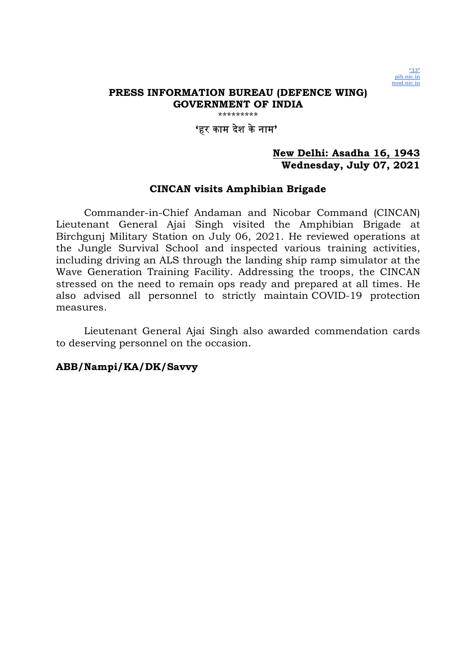

# 'हर काम दशे केनाम'

### New Delhi: Asadha 16, 1943 Wednesday, July 07, 2021

#### CINCAN visits Amphibian Brigade

Commander-in-Chief Andaman and Nicobar Command (CINCAN) Lieutenant General Ajai Singh visited the Amphibian Brigade at Birchgunj Military Station on July 06, 2021. He reviewed operations at the Jungle Survival School and inspected various training activities, including driving an ALS through the landing ship ramp simulator at the Wave Generation Training Facility. Addressing the troops, the CINCAN stressed on the need to remain ops ready and prepared at all times. He also advised all personnel to strictly maintain COVID-19 protection measures.

Lieutenant General Ajai Singh also awarded commendation cards to deserving personnel on the occasion.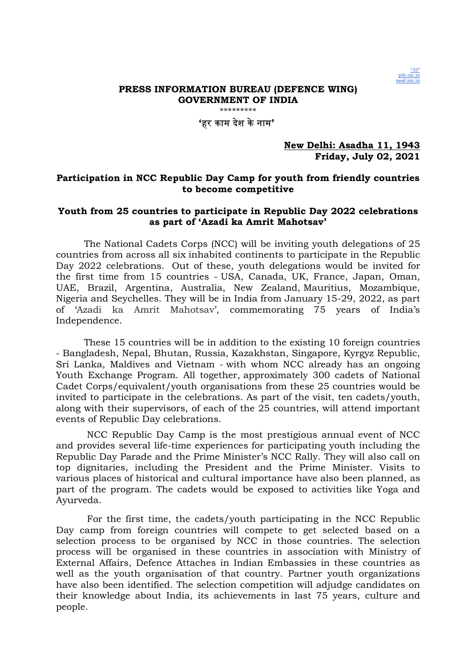

'हर काम देश केनाम'

New Delhi: Asadha 11, 1943 Friday, July 02, 2021

#### Participation in NCC Republic Day Camp for youth from friendly countries to become competitive

#### Youth from 25 countries to participate in Republic Day 2022 celebrations as part of 'Azadi ka Amrit Mahotsav'

The National Cadets Corps (NCC) will be inviting youth delegations of 25 countries from across all six inhabited continents to participate in the Republic Day 2022 celebrations. Out of these, youth delegations would be invited for the first time from 15 countries - USA, Canada, UK, France, Japan, Oman, UAE, Brazil, Argentina, Australia, New Zealand, Mauritius, Mozambique, Nigeria and Seychelles. They will be in India from January 15-29, 2022, as part of 'Azadi ka Amrit Mahotsav', commemorating 75 years of India's Independence.

These 15 countries will be in addition to the existing 10 foreign countries - Bangladesh, Nepal, Bhutan, Russia, Kazakhstan, Singapore, Kyrgyz Republic, Sri Lanka, Maldives and Vietnam - with whom NCC already has an ongoing Youth Exchange Program. All together, approximately 300 cadets of National Cadet Corps/equivalent/youth organisations from these 25 countries would be invited to participate in the celebrations. As part of the visit, ten cadets/youth, along with their supervisors, of each of the 25 countries, will attend important events of Republic Day celebrations.

 NCC Republic Day Camp is the most prestigious annual event of NCC and provides several life-time experiences for participating youth including the Republic Day Parade and the Prime Minister's NCC Rally. They will also call on top dignitaries, including the President and the Prime Minister. Visits to various places of historical and cultural importance have also been planned, as part of the program. The cadets would be exposed to activities like Yoga and Ayurveda.

 For the first time, the cadets/youth participating in the NCC Republic Day camp from foreign countries will compete to get selected based on a selection process to be organised by NCC in those countries. The selection process will be organised in these countries in association with Ministry of External Affairs, Defence Attaches in Indian Embassies in these countries as well as the youth organisation of that country. Partner youth organizations have also been identified. The selection competition will adjudge candidates on their knowledge about India, its achievements in last 75 years, culture and people.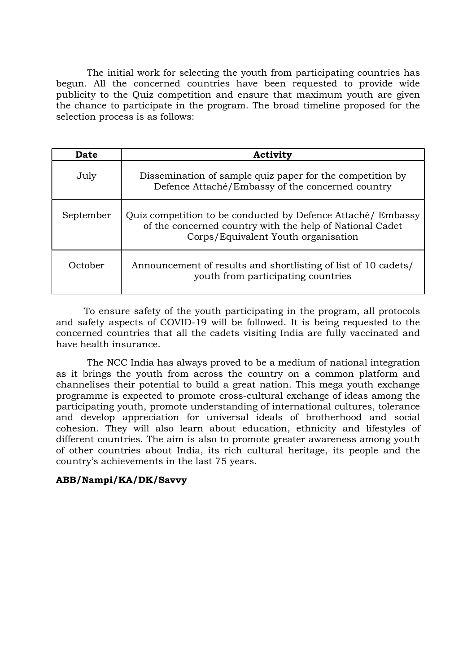The initial work for selecting the youth from participating countries has begun. All the concerned countries have been requested to provide wide publicity to the Quiz competition and ensure that maximum youth are given the chance to participate in the program. The broad timeline proposed for the selection process is as follows:

| <b>Date</b> | Activity                                                                                                                                                        |
|-------------|-----------------------------------------------------------------------------------------------------------------------------------------------------------------|
| July        | Dissemination of sample quiz paper for the competition by<br>Defence Attaché/Embassy of the concerned country                                                   |
| September   | Quiz competition to be conducted by Defence Attaché/ Embassy<br>of the concerned country with the help of National Cadet<br>Corps/Equivalent Youth organisation |
| October     | Announcement of results and shortlisting of list of 10 cadets/<br>youth from participating countries                                                            |

To ensure safety of the youth participating in the program, all protocols and safety aspects of COVID-19 will be followed. It is being requested to the concerned countries that all the cadets visiting India are fully vaccinated and have health insurance.

 The NCC India has always proved to be a medium of national integration as it brings the youth from across the country on a common platform and channelises their potential to build a great nation. This mega youth exchange programme is expected to promote cross-cultural exchange of ideas among the participating youth, promote understanding of international cultures, tolerance and develop appreciation for universal ideals of brotherhood and social cohesion. They will also learn about education, ethnicity and lifestyles of different countries. The aim is also to promote greater awareness among youth of other countries about India, its rich cultural heritage, its people and the country's achievements in the last 75 years.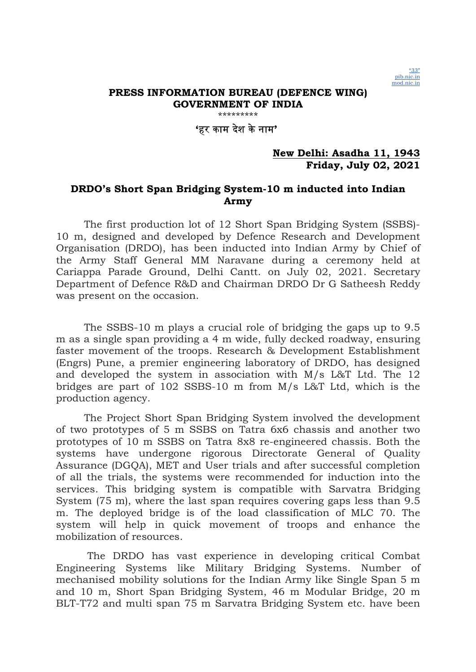

\*\*\*\*\*\*\*\*\*

## 'हर काम दशे केनाम'

### New Delhi: Asadha 11, 1943 Friday, July 02, 2021

## DRDO's Short Span Bridging System-10 m inducted into Indian Army

The first production lot of 12 Short Span Bridging System (SSBS)- 10 m, designed and developed by Defence Research and Development Organisation (DRDO), has been inducted into Indian Army by Chief of the Army Staff General MM Naravane during a ceremony held at Cariappa Parade Ground, Delhi Cantt. on July 02, 2021. Secretary Department of Defence R&D and Chairman DRDO Dr G Satheesh Reddy was present on the occasion.

The SSBS-10 m plays a crucial role of bridging the gaps up to 9.5 m as a single span providing a 4 m wide, fully decked roadway, ensuring faster movement of the troops. Research & Development Establishment (Engrs) Pune, a premier engineering laboratory of DRDO, has designed and developed the system in association with M/s L&T Ltd. The 12 bridges are part of 102 SSBS-10 m from M/s L&T Ltd, which is the production agency.

The Project Short Span Bridging System involved the development of two prototypes of 5 m SSBS on Tatra 6x6 chassis and another two prototypes of 10 m SSBS on Tatra 8x8 re-engineered chassis. Both the systems have undergone rigorous Directorate General of Quality Assurance (DGQA), MET and User trials and after successful completion of all the trials, the systems were recommended for induction into the services. This bridging system is compatible with Sarvatra Bridging System (75 m), where the last span requires covering gaps less than 9.5 m. The deployed bridge is of the load classification of MLC 70. The system will help in quick movement of troops and enhance the mobilization of resources.

 The DRDO has vast experience in developing critical Combat Engineering Systems like Military Bridging Systems. Number of mechanised mobility solutions for the Indian Army like Single Span 5 m and 10 m, Short Span Bridging System, 46 m Modular Bridge, 20 m BLT-T72 and multi span 75 m Sarvatra Bridging System etc. have been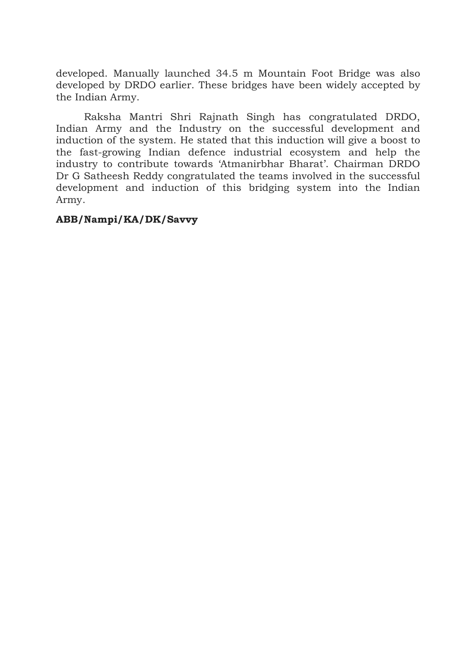developed. Manually launched 34.5 m Mountain Foot Bridge was also developed by DRDO earlier. These bridges have been widely accepted by the Indian Army.

Raksha Mantri Shri Rajnath Singh has congratulated DRDO, Indian Army and the Industry on the successful development and induction of the system. He stated that this induction will give a boost to the fast-growing Indian defence industrial ecosystem and help the industry to contribute towards 'Atmanirbhar Bharat'. Chairman DRDO Dr G Satheesh Reddy congratulated the teams involved in the successful development and induction of this bridging system into the Indian Army.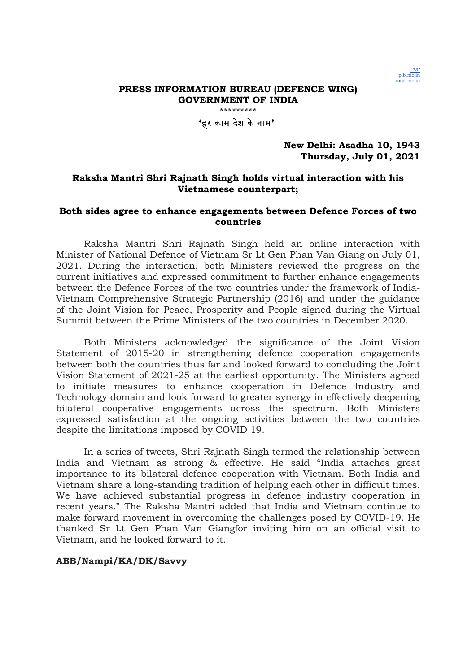

'हर काम देश केनाम'

#### New Delhi: Asadha 10, 1943 Thursday, July 01, 2021

#### Raksha Mantri Shri Rajnath Singh holds virtual interaction with his Vietnamese counterpart;

#### Both sides agree to enhance engagements between Defence Forces of two countries

Raksha Mantri Shri Rajnath Singh held an online interaction with Minister of National Defence of Vietnam Sr Lt Gen Phan Van Giang on July 01, 2021. During the interaction, both Ministers reviewed the progress on the current initiatives and expressed commitment to further enhance engagements between the Defence Forces of the two countries under the framework of India-Vietnam Comprehensive Strategic Partnership (2016) and under the guidance of the Joint Vision for Peace, Prosperity and People signed during the Virtual Summit between the Prime Ministers of the two countries in December 2020.

Both Ministers acknowledged the significance of the Joint Vision Statement of 2015-20 in strengthening defence cooperation engagements between both the countries thus far and looked forward to concluding the Joint Vision Statement of 2021-25 at the earliest opportunity. The Ministers agreed to initiate measures to enhance cooperation in Defence Industry and Technology domain and look forward to greater synergy in effectively deepening bilateral cooperative engagements across the spectrum. Both Ministers expressed satisfaction at the ongoing activities between the two countries despite the limitations imposed by COVID 19.

In a series of tweets, Shri Rajnath Singh termed the relationship between India and Vietnam as strong & effective. He said "India attaches great importance to its bilateral defence cooperation with Vietnam. Both India and Vietnam share a long-standing tradition of helping each other in difficult times. We have achieved substantial progress in defence industry cooperation in recent years." The Raksha Mantri added that India and Vietnam continue to make forward movement in overcoming the challenges posed by COVID-19. He thanked Sr Lt Gen Phan Van Giangfor inviting him on an official visit to Vietnam, and he looked forward to it.